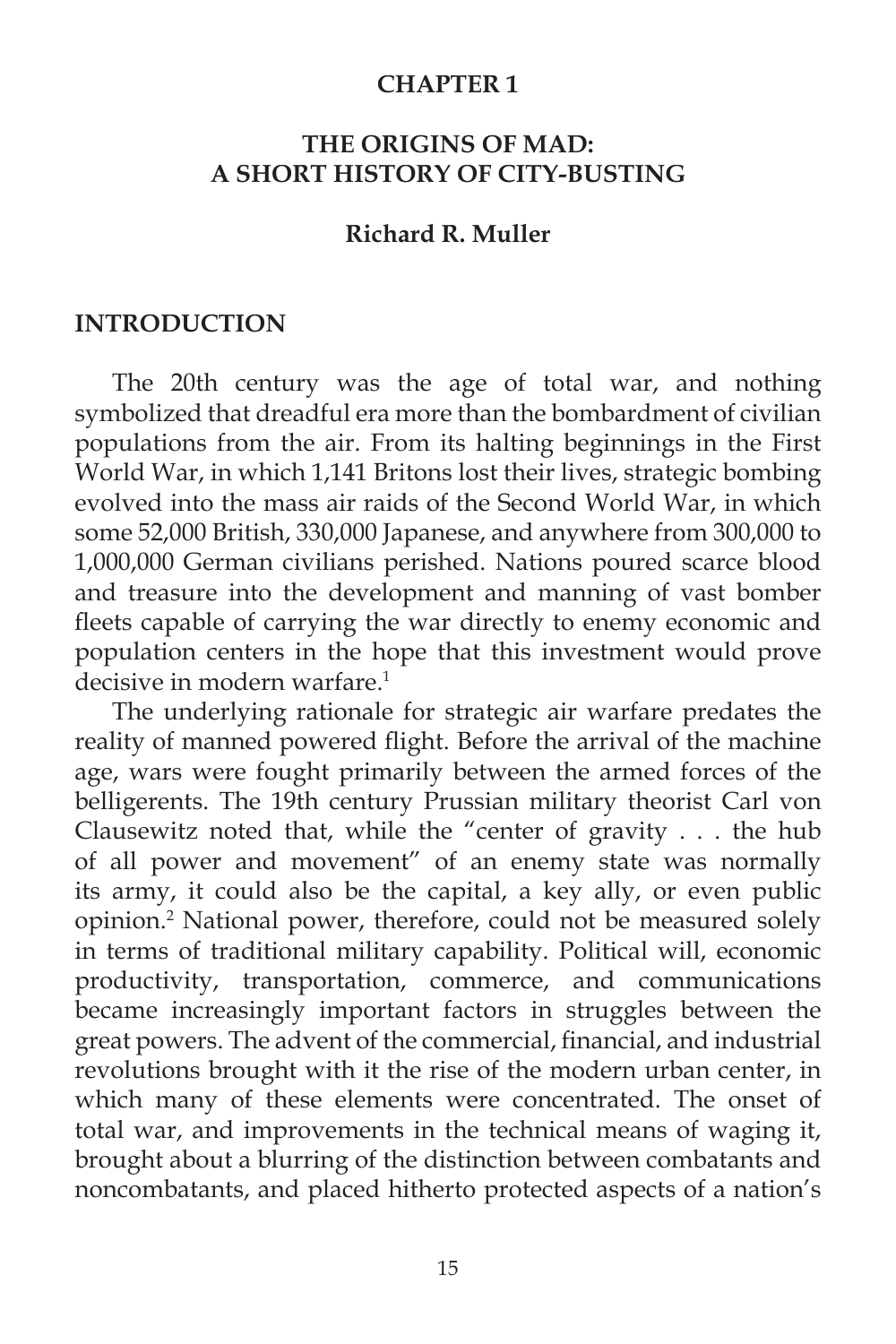#### **CHAPTER 1**

# **THE ORIGINS OF MAD: A SHORT HISTORY OF CITY-BUSTING**

#### **Richard R. Muller**

#### **INTRODUCTION**

 The 20th century was the age of total war, and nothing symbolized that dreadful era more than the bombardment of civilian populations from the air. From its halting beginnings in the First World War, in which 1,141 Britons lost their lives, strategic bombing evolved into the mass air raids of the Second World War, in which some 52,000 British, 330,000 Japanese, and anywhere from 300,000 to 1,000,000 German civilians perished. Nations poured scarce blood and treasure into the development and manning of vast bomber fleets capable of carrying the war directly to enemy economic and population centers in the hope that this investment would prove decisive in modern warfare $<sup>1</sup>$ </sup>

 The underlying rationale for strategic air warfare predates the reality of manned powered flight. Before the arrival of the machine age, wars were fought primarily between the armed forces of the belligerents. The 19th century Prussian military theorist Carl von Clausewitz noted that, while the "center of gravity . . . the hub of all power and movement" of an enemy state was normally its army, it could also be the capital, a key ally, or even public opinion.2 National power, therefore, could not be measured solely in terms of traditional military capability. Political will, economic productivity, transportation, commerce, and communications became increasingly important factors in struggles between the great powers. The advent of the commercial, financial, and industrial revolutions brought with it the rise of the modern urban center, in which many of these elements were concentrated. The onset of total war, and improvements in the technical means of waging it, brought about a blurring of the distinction between combatants and noncombatants, and placed hitherto protected aspects of a nation's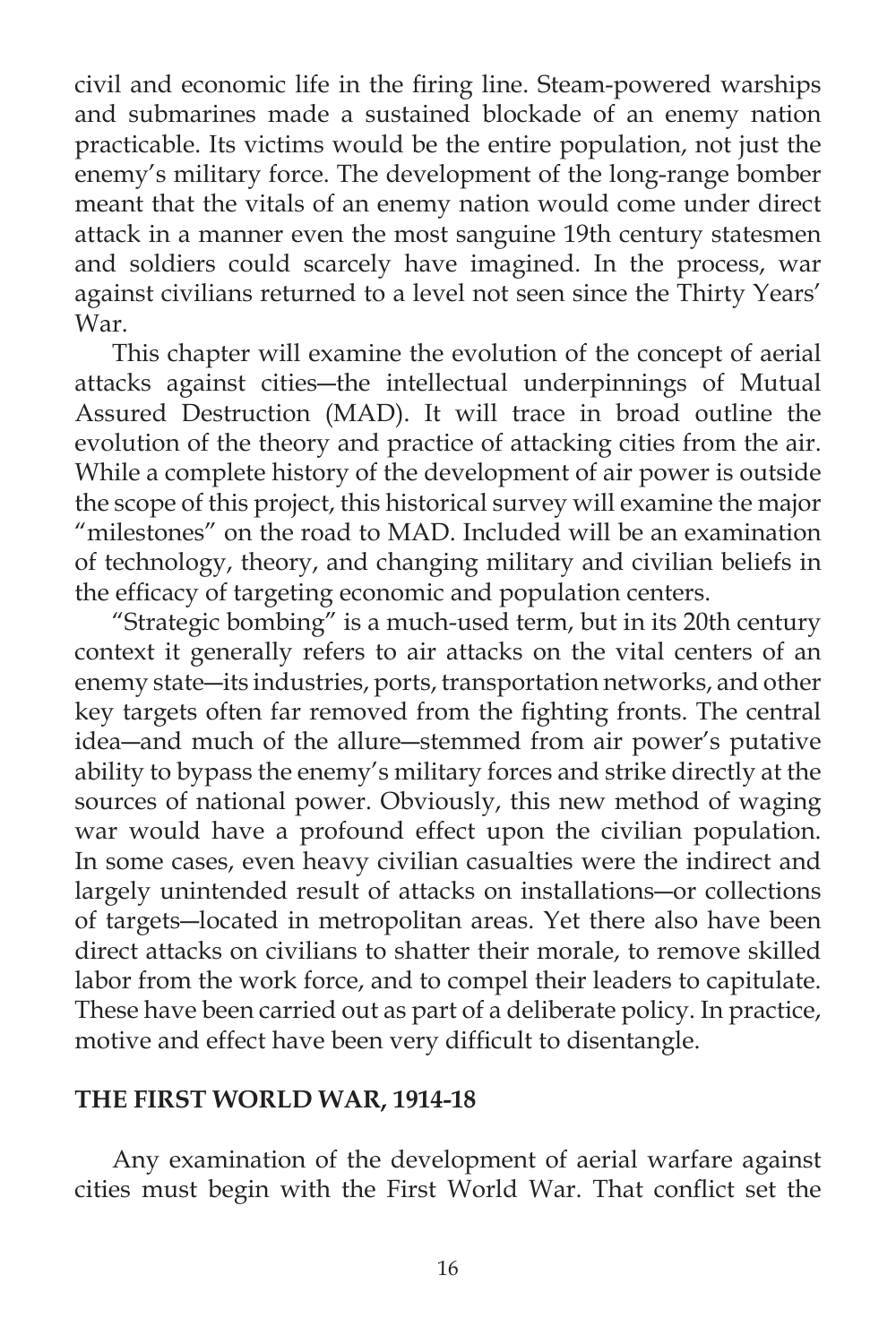civil and economic life in the firing line. Steam-powered warships and submarines made a sustained blockade of an enemy nation practicable. Its victims would be the entire population, not just the enemy's military force. The development of the long-range bomber meant that the vitals of an enemy nation would come under direct attack in a manner even the most sanguine 19th century statesmen and soldiers could scarcely have imagined. In the process, war against civilians returned to a level not seen since the Thirty Years' War.

 This chapter will examine the evolution of the concept of aerial attacks against cities―the intellectual underpinnings of Mutual Assured Destruction (MAD). It will trace in broad outline the evolution of the theory and practice of attacking cities from the air. While a complete history of the development of air power is outside the scope of this project, this historical survey will examine the major "milestones" on the road to MAD. Included will be an examination of technology, theory, and changing military and civilian beliefs in the efficacy of targeting economic and population centers.

 "Strategic bombing" is a much-used term, but in its 20th century context it generally refers to air attacks on the vital centers of an enemy state―its industries, ports, transportation networks, and other key targets often far removed from the fighting fronts. The central idea―and much of the allure―stemmed from air power's putative ability to bypass the enemy's military forces and strike directly at the sources of national power. Obviously, this new method of waging war would have a profound effect upon the civilian population. In some cases, even heavy civilian casualties were the indirect and largely unintended result of attacks on installations―or collections of targets―located in metropolitan areas. Yet there also have been direct attacks on civilians to shatter their morale, to remove skilled labor from the work force, and to compel their leaders to capitulate. These have been carried out as part of a deliberate policy. In practice, motive and effect have been very difficult to disentangle.

### **THE FIRST WORLD WAR, 1914-18**

 Any examination of the development of aerial warfare against cities must begin with the First World War. That conflict set the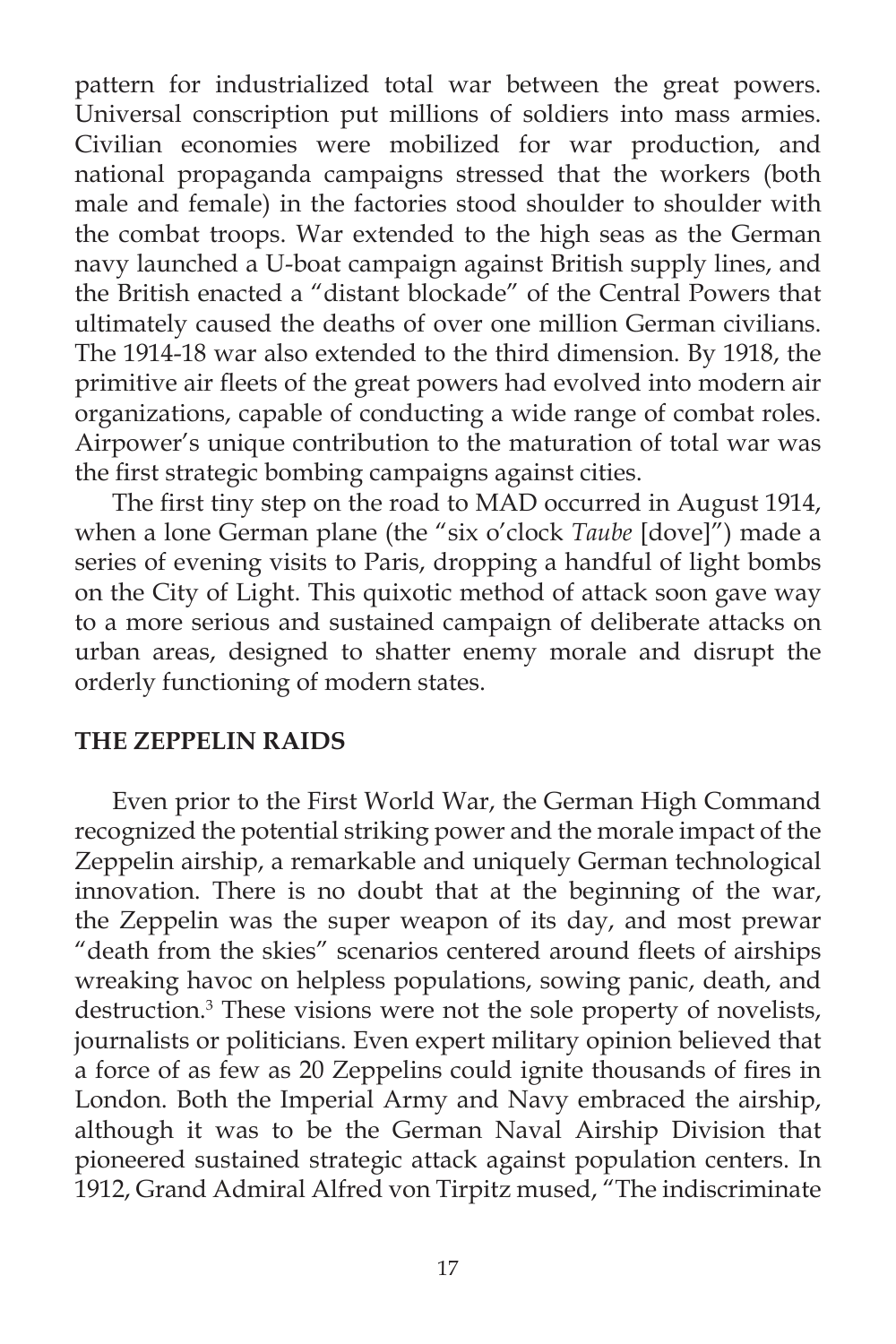pattern for industrialized total war between the great powers. Universal conscription put millions of soldiers into mass armies. Civilian economies were mobilized for war production, and national propaganda campaigns stressed that the workers (both male and female) in the factories stood shoulder to shoulder with the combat troops. War extended to the high seas as the German navy launched a U-boat campaign against British supply lines, and the British enacted a "distant blockade" of the Central Powers that ultimately caused the deaths of over one million German civilians. The 1914-18 war also extended to the third dimension. By 1918, the primitive air fleets of the great powers had evolved into modern air organizations, capable of conducting a wide range of combat roles. Airpower's unique contribution to the maturation of total war was the first strategic bombing campaigns against cities.

The first tiny step on the road to MAD occurred in August 1914, when a lone German plane (the "six o'clock *Taube* [dove]") made a series of evening visits to Paris, dropping a handful of light bombs on the City of Light. This quixotic method of attack soon gave way to a more serious and sustained campaign of deliberate attacks on urban areas, designed to shatter enemy morale and disrupt the orderly functioning of modern states.

#### **THE ZEPPELIN RAIDS**

Even prior to the First World War, the German High Command recognized the potential striking power and the morale impact of the Zeppelin airship, a remarkable and uniquely German technological innovation. There is no doubt that at the beginning of the war, the Zeppelin was the super weapon of its day, and most prewar "death from the skies" scenarios centered around fleets of airships wreaking havoc on helpless populations, sowing panic, death, and destruction.<sup>3</sup> These visions were not the sole property of novelists, journalists or politicians. Even expert military opinion believed that a force of as few as 20 Zeppelins could ignite thousands of fires in London. Both the Imperial Army and Navy embraced the airship, although it was to be the German Naval Airship Division that pioneered sustained strategic attack against population centers. In 1912, Grand Admiral Alfred von Tirpitz mused, "The indiscriminate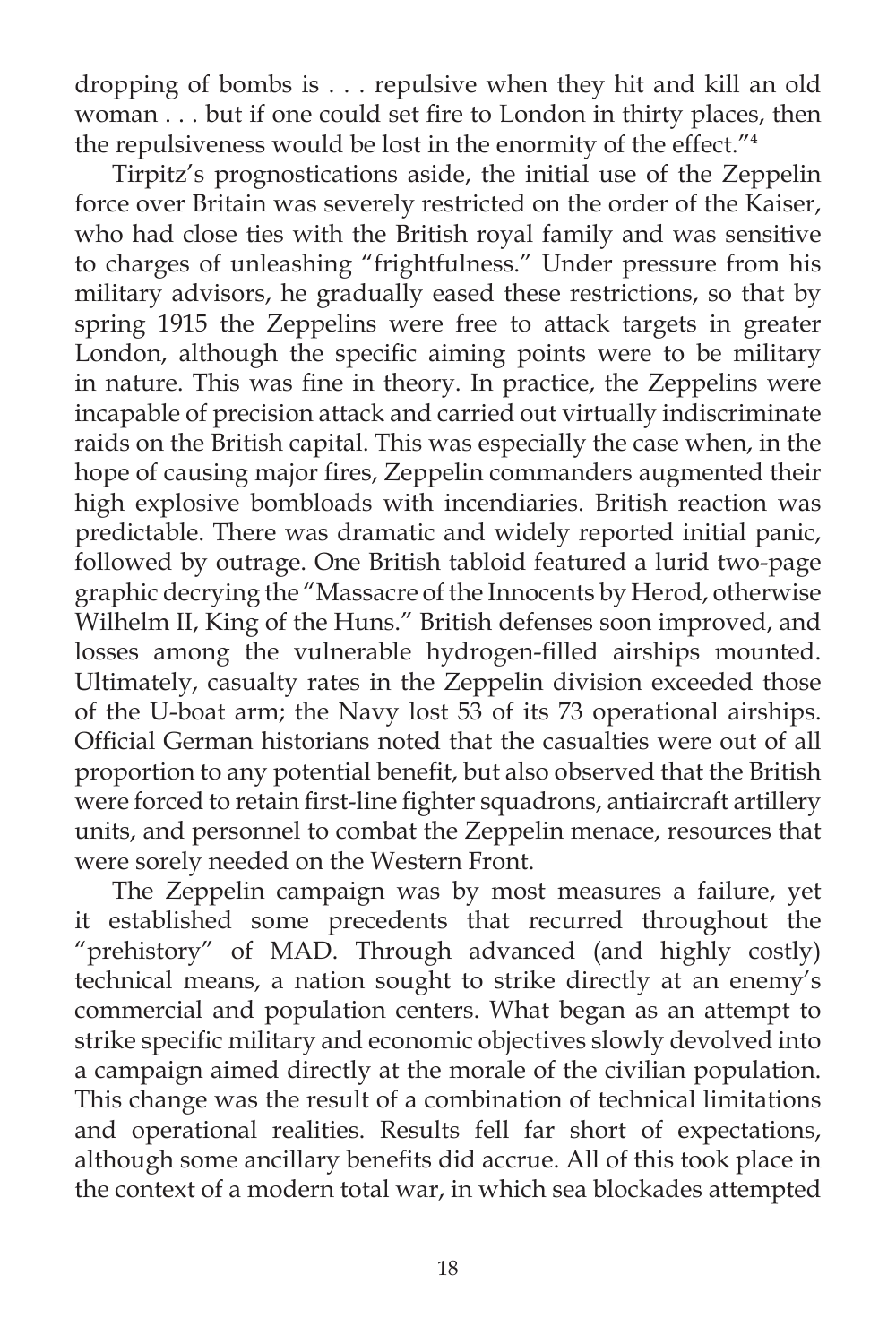dropping of bombs is . . . repulsive when they hit and kill an old woman . . . but if one could set fire to London in thirty places, then the repulsiveness would be lost in the enormity of the effect."4

 Tirpitz's prognostications aside, the initial use of the Zeppelin force over Britain was severely restricted on the order of the Kaiser, who had close ties with the British royal family and was sensitive to charges of unleashing "frightfulness." Under pressure from his military advisors, he gradually eased these restrictions, so that by spring 1915 the Zeppelins were free to attack targets in greater London, although the specific aiming points were to be military in nature. This was fine in theory. In practice, the Zeppelins were incapable of precision attack and carried out virtually indiscriminate raids on the British capital. This was especially the case when, in the hope of causing major fires, Zeppelin commanders augmented their high explosive bombloads with incendiaries. British reaction was predictable. There was dramatic and widely reported initial panic, followed by outrage. One British tabloid featured a lurid two-page graphic decrying the "Massacre of the Innocents by Herod, otherwise Wilhelm II, King of the Huns." British defenses soon improved, and losses among the vulnerable hydrogen-filled airships mounted. Ultimately, casualty rates in the Zeppelin division exceeded those of the U-boat arm; the Navy lost 53 of its 73 operational airships. Official German historians noted that the casualties were out of all proportion to any potential benefit, but also observed that the British were forced to retain first-line fighter squadrons, antiaircraft artillery units, and personnel to combat the Zeppelin menace, resources that were sorely needed on the Western Front.

 The Zeppelin campaign was by most measures a failure, yet it established some precedents that recurred throughout the "prehistory" of MAD. Through advanced (and highly costly) technical means, a nation sought to strike directly at an enemy's commercial and population centers. What began as an attempt to strike specific military and economic objectives slowly devolved into a campaign aimed directly at the morale of the civilian population. This change was the result of a combination of technical limitations and operational realities. Results fell far short of expectations, although some ancillary benefits did accrue. All of this took place in the context of a modern total war, in which sea blockades attempted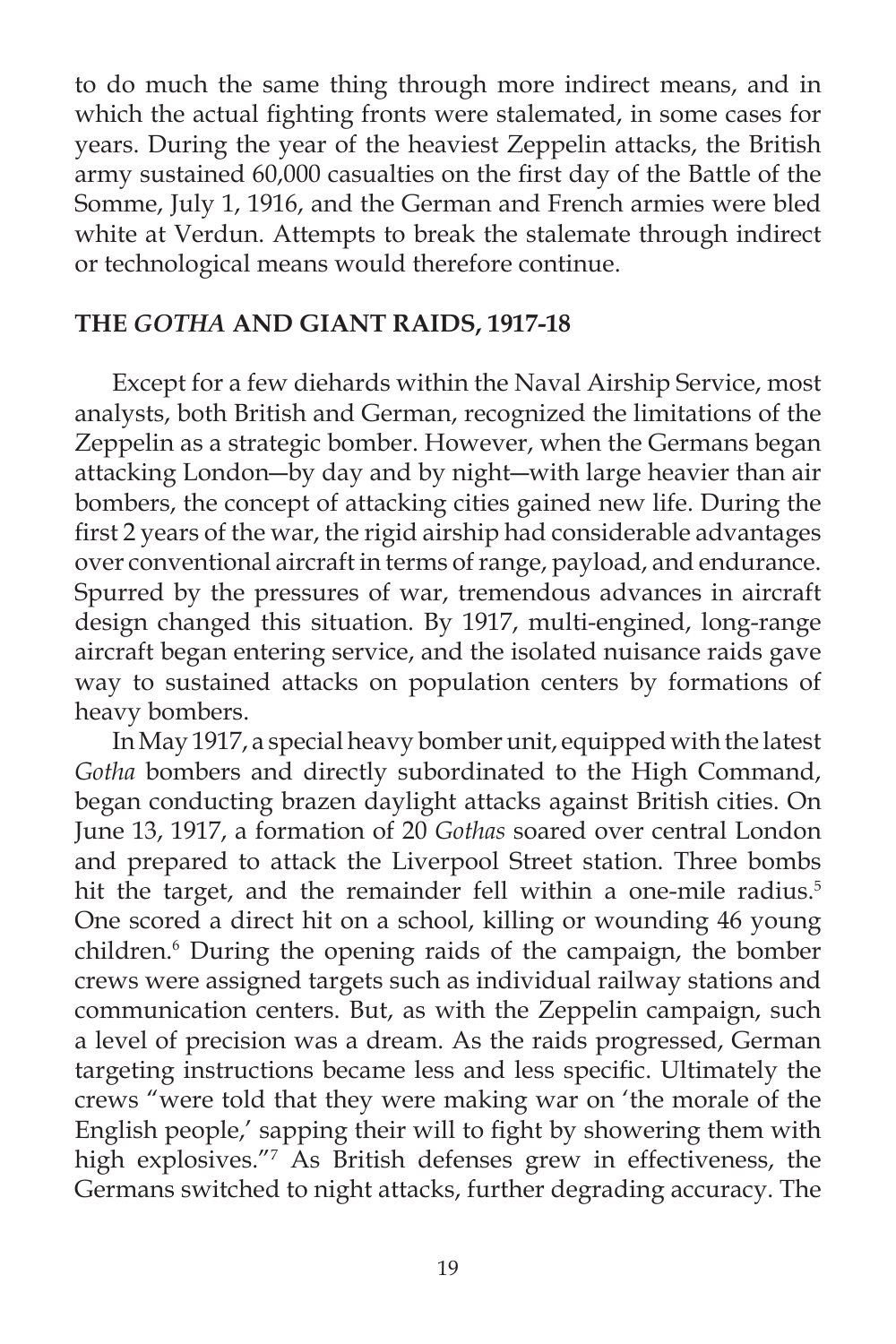to do much the same thing through more indirect means, and in which the actual fighting fronts were stalemated, in some cases for years. During the year of the heaviest Zeppelin attacks, the British army sustained 60,000 casualties on the first day of the Battle of the Somme, July 1, 1916, and the German and French armies were bled white at Verdun. Attempts to break the stalemate through indirect or technological means would therefore continue.

#### **THE** *GOTHA* **AND GIANT RAIDS, 1917-18**

 Except for a few diehards within the Naval Airship Service, most analysts, both British and German, recognized the limitations of the Zeppelin as a strategic bomber. However, when the Germans began attacking London―by day and by night―with large heavier than air bombers, the concept of attacking cities gained new life. During the first 2 years of the war, the rigid airship had considerable advantages over conventional aircraft in terms of range, payload, and endurance. Spurred by the pressures of war, tremendous advances in aircraft design changed this situation. By 1917, multi-engined, long-range aircraft began entering service, and the isolated nuisance raids gave way to sustained attacks on population centers by formations of heavy bombers.

 In May 1917, a special heavy bomber unit, equipped with the latest *Gotha* bombers and directly subordinated to the High Command, began conducting brazen daylight attacks against British cities. On June 13, 1917, a formation of 20 *Gothas* soared over central London and prepared to attack the Liverpool Street station. Three bombs hit the target, and the remainder fell within a one-mile radius.<sup>5</sup> One scored a direct hit on a school, killing or wounding 46 young children.6 During the opening raids of the campaign, the bomber crews were assigned targets such as individual railway stations and communication centers. But, as with the Zeppelin campaign, such a level of precision was a dream. As the raids progressed, German targeting instructions became less and less specific. Ultimately the crews "were told that they were making war on 'the morale of the English people,' sapping their will to fight by showering them with high explosives."7 As British defenses grew in effectiveness, the Germans switched to night attacks, further degrading accuracy. The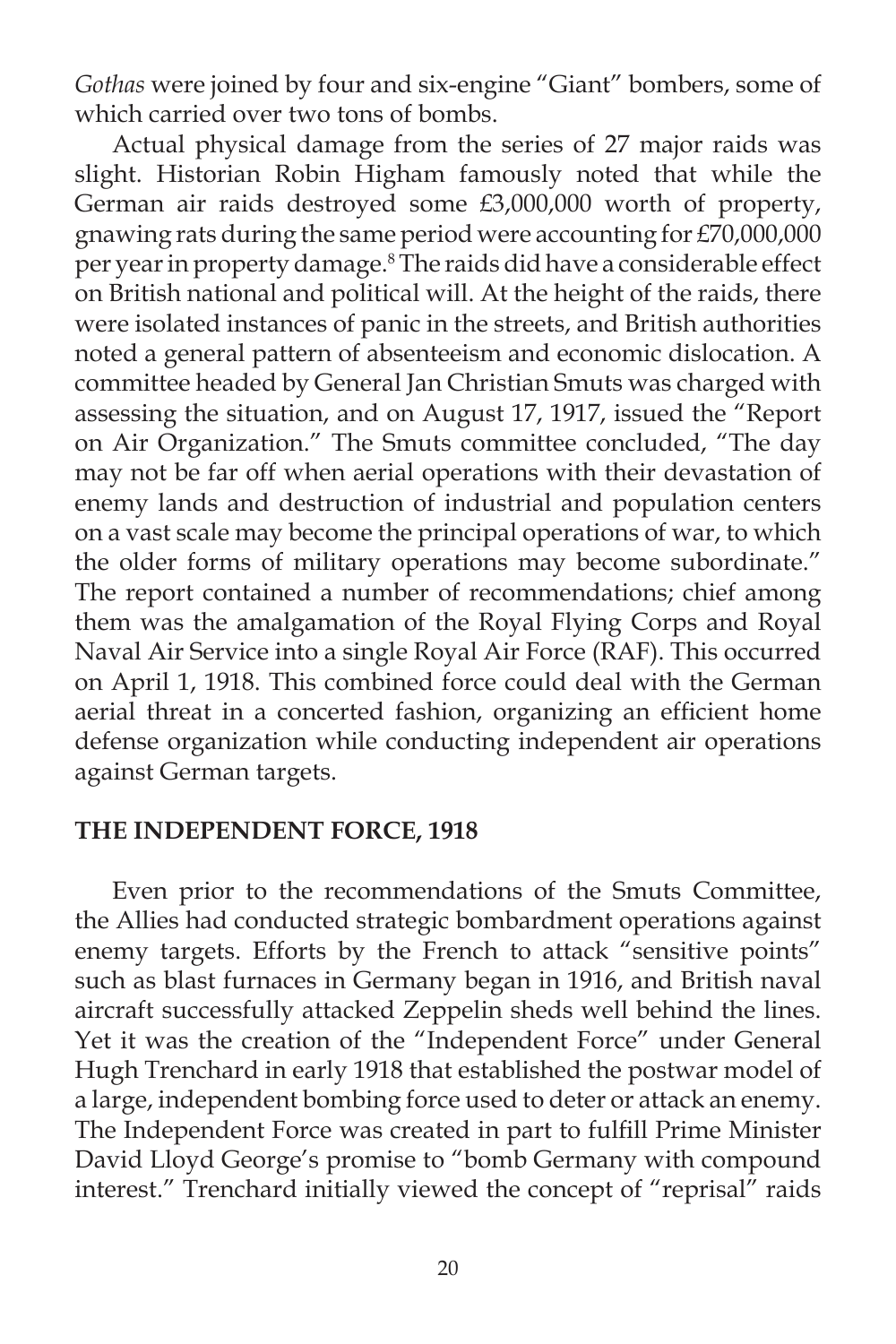*Gothas* were joined by four and six-engine "Giant" bombers, some of which carried over two tons of bombs.

 Actual physical damage from the series of 27 major raids was slight. Historian Robin Higham famously noted that while the German air raids destroyed some £3,000,000 worth of property, gnawing rats during the same period were accounting for £70,000,000 per year in property damage.8 The raids did have a considerable effect on British national and political will. At the height of the raids, there were isolated instances of panic in the streets, and British authorities noted a general pattern of absenteeism and economic dislocation. A committee headed by General Jan Christian Smuts was charged with assessing the situation, and on August 17, 1917, issued the "Report on Air Organization." The Smuts committee concluded, "The day may not be far off when aerial operations with their devastation of enemy lands and destruction of industrial and population centers on a vast scale may become the principal operations of war, to which the older forms of military operations may become subordinate." The report contained a number of recommendations; chief among them was the amalgamation of the Royal Flying Corps and Royal Naval Air Service into a single Royal Air Force (RAF). This occurred on April 1, 1918. This combined force could deal with the German aerial threat in a concerted fashion, organizing an efficient home defense organization while conducting independent air operations against German targets.

#### **THE INDEPENDENT FORCE, 1918**

 Even prior to the recommendations of the Smuts Committee, the Allies had conducted strategic bombardment operations against enemy targets. Efforts by the French to attack "sensitive points" such as blast furnaces in Germany began in 1916, and British naval aircraft successfully attacked Zeppelin sheds well behind the lines. Yet it was the creation of the "Independent Force" under General Hugh Trenchard in early 1918 that established the postwar model of a large, independent bombing force used to deter or attack an enemy. The Independent Force was created in part to fulfill Prime Minister David Lloyd George's promise to "bomb Germany with compound interest." Trenchard initially viewed the concept of "reprisal" raids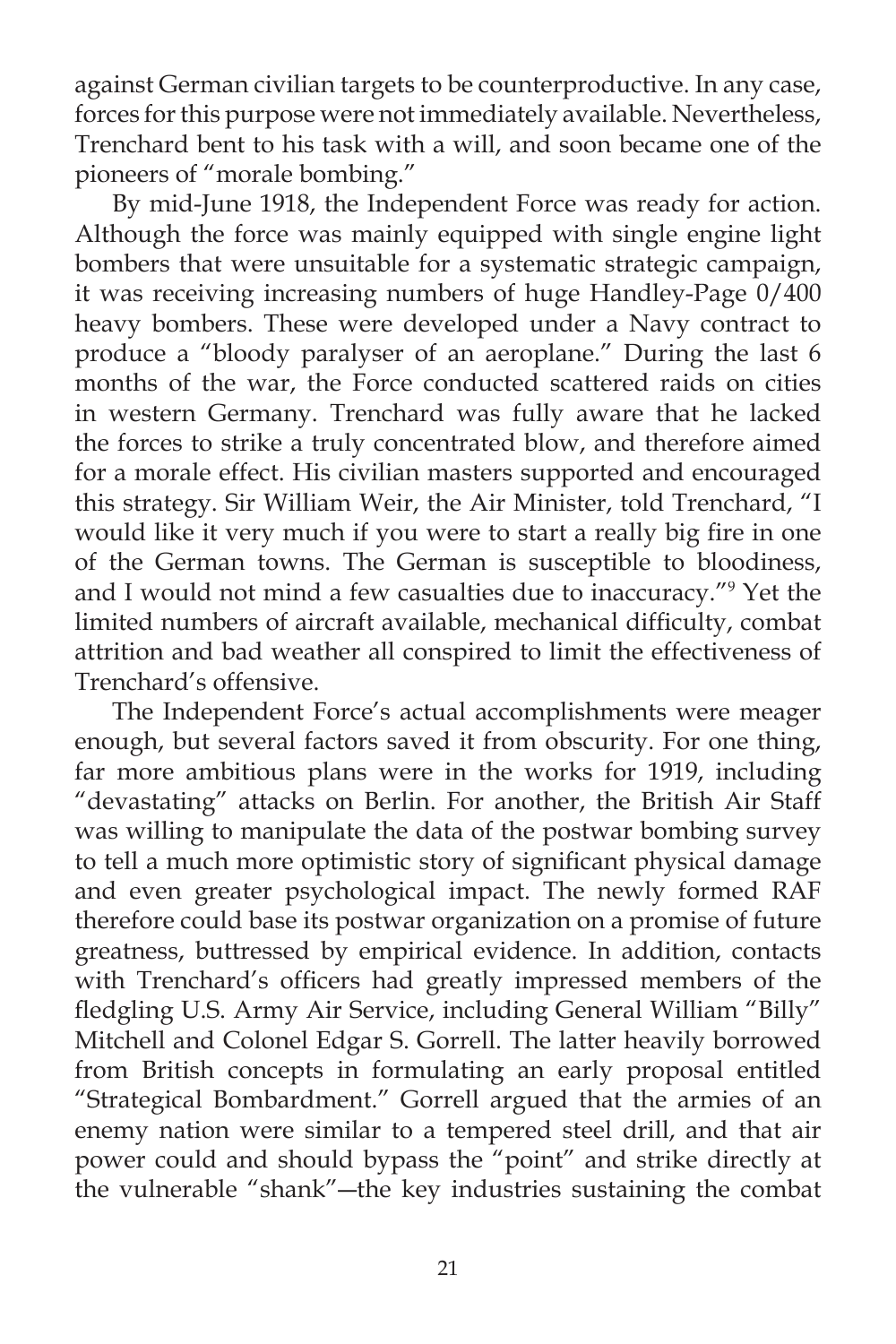against German civilian targets to be counterproductive. In any case, forces for this purpose were not immediately available. Nevertheless, Trenchard bent to his task with a will, and soon became one of the pioneers of "morale bombing."

 By mid-June 1918, the Independent Force was ready for action. Although the force was mainly equipped with single engine light bombers that were unsuitable for a systematic strategic campaign, it was receiving increasing numbers of huge Handley-Page 0/400 heavy bombers. These were developed under a Navy contract to produce a "bloody paralyser of an aeroplane." During the last 6 months of the war, the Force conducted scattered raids on cities in western Germany. Trenchard was fully aware that he lacked the forces to strike a truly concentrated blow, and therefore aimed for a morale effect. His civilian masters supported and encouraged this strategy. Sir William Weir, the Air Minister, told Trenchard, "I would like it very much if you were to start a really big fire in one of the German towns. The German is susceptible to bloodiness, and I would not mind a few casualties due to inaccuracy."9 Yet the limited numbers of aircraft available, mechanical difficulty, combat attrition and bad weather all conspired to limit the effectiveness of Trenchard's offensive.

The Independent Force's actual accomplishments were meager enough, but several factors saved it from obscurity. For one thing, far more ambitious plans were in the works for 1919, including "devastating" attacks on Berlin. For another, the British Air Staff was willing to manipulate the data of the postwar bombing survey to tell a much more optimistic story of significant physical damage and even greater psychological impact. The newly formed RAF therefore could base its postwar organization on a promise of future greatness, buttressed by empirical evidence. In addition, contacts with Trenchard's officers had greatly impressed members of the fledgling U.S. Army Air Service, including General William "Billy" Mitchell and Colonel Edgar S. Gorrell. The latter heavily borrowed from British concepts in formulating an early proposal entitled "Strategical Bombardment." Gorrell argued that the armies of an enemy nation were similar to a tempered steel drill, and that air power could and should bypass the "point" and strike directly at the vulnerable "shank"―the key industries sustaining the combat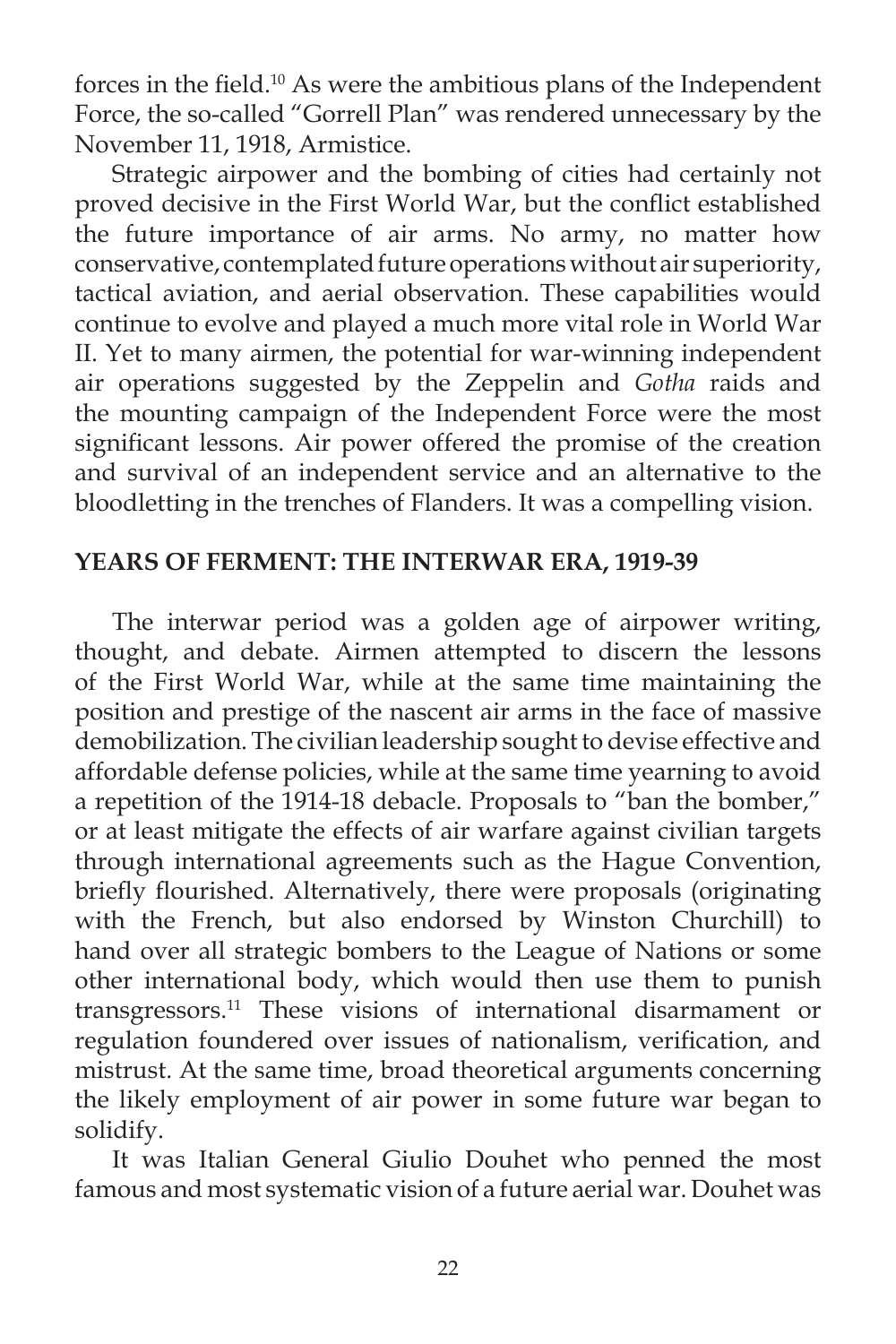forces in the field.<sup>10</sup> As were the ambitious plans of the Independent Force, the so-called "Gorrell Plan" was rendered unnecessary by the November 11, 1918, Armistice.

Strategic airpower and the bombing of cities had certainly not proved decisive in the First World War, but the conflict established the future importance of air arms. No army, no matter how conservative, contemplated future operations without air superiority, tactical aviation, and aerial observation. These capabilities would continue to evolve and played a much more vital role in World War II. Yet to many airmen, the potential for war-winning independent air operations suggested by the Zeppelin and *Gotha* raids and the mounting campaign of the Independent Force were the most significant lessons. Air power offered the promise of the creation and survival of an independent service and an alternative to the bloodletting in the trenches of Flanders. It was a compelling vision.

# **YEARS OF FERMENT: THE INTERWAR ERA, 1919-39**

 The interwar period was a golden age of airpower writing, thought, and debate. Airmen attempted to discern the lessons of the First World War, while at the same time maintaining the position and prestige of the nascent air arms in the face of massive demobilization. The civilian leadership sought to devise effective and affordable defense policies, while at the same time yearning to avoid a repetition of the 1914-18 debacle. Proposals to "ban the bomber," or at least mitigate the effects of air warfare against civilian targets through international agreements such as the Hague Convention, briefly flourished. Alternatively, there were proposals (originating with the French, but also endorsed by Winston Churchill) to hand over all strategic bombers to the League of Nations or some other international body, which would then use them to punish transgressors.11 These visions of international disarmament or regulation foundered over issues of nationalism, verification, and mistrust. At the same time, broad theoretical arguments concerning the likely employment of air power in some future war began to solidify.

 It was Italian General Giulio Douhet who penned the most famous and most systematic vision of a future aerial war. Douhet was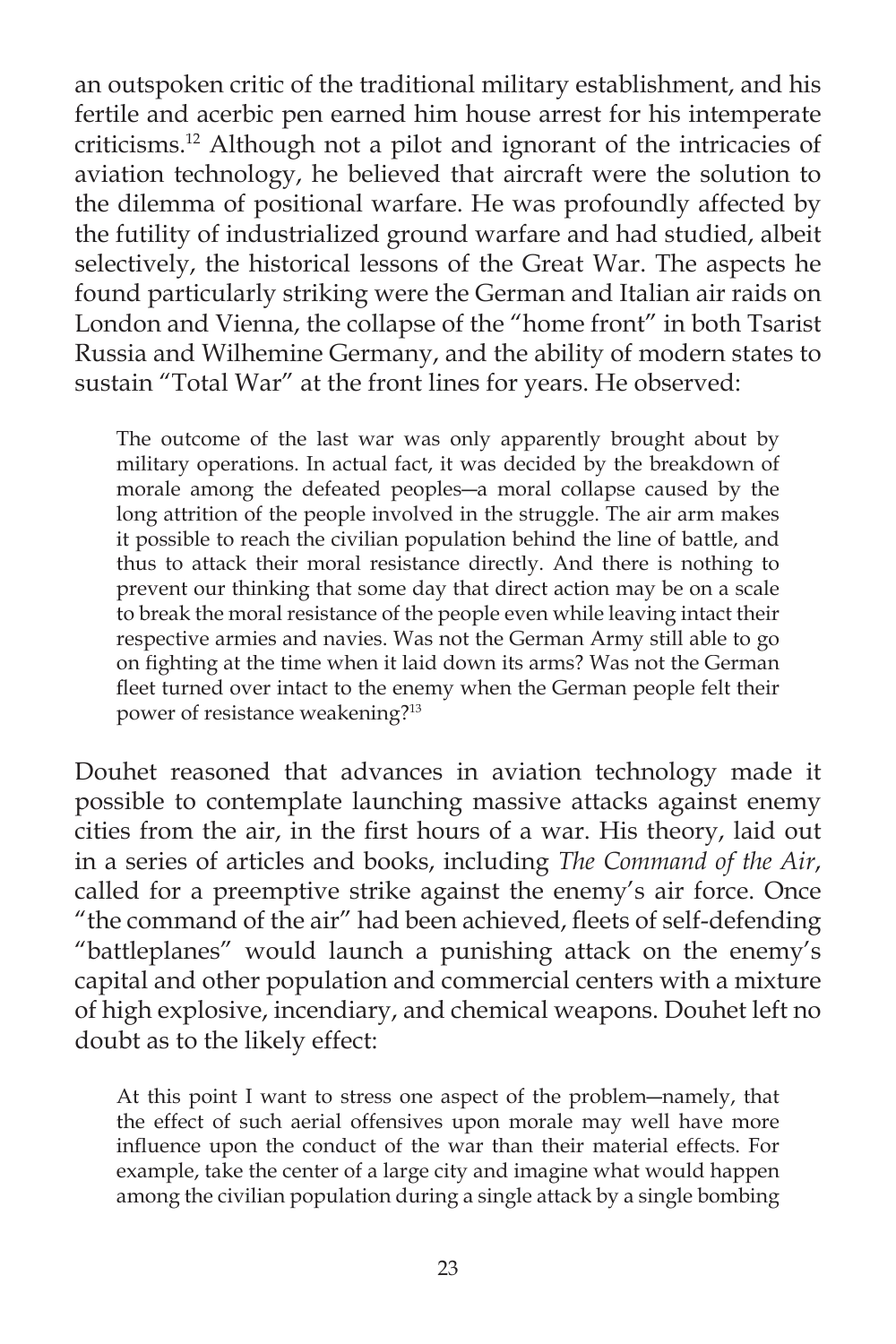an outspoken critic of the traditional military establishment, and his fertile and acerbic pen earned him house arrest for his intemperate criticisms.12 Although not a pilot and ignorant of the intricacies of aviation technology, he believed that aircraft were the solution to the dilemma of positional warfare. He was profoundly affected by the futility of industrialized ground warfare and had studied, albeit selectively, the historical lessons of the Great War. The aspects he found particularly striking were the German and Italian air raids on London and Vienna, the collapse of the "home front" in both Tsarist Russia and Wilhemine Germany, and the ability of modern states to sustain "Total War" at the front lines for years. He observed:

The outcome of the last war was only apparently brought about by military operations. In actual fact, it was decided by the breakdown of morale among the defeated peoples―a moral collapse caused by the long attrition of the people involved in the struggle. The air arm makes it possible to reach the civilian population behind the line of battle, and thus to attack their moral resistance directly. And there is nothing to prevent our thinking that some day that direct action may be on a scale to break the moral resistance of the people even while leaving intact their respective armies and navies. Was not the German Army still able to go on fighting at the time when it laid down its arms? Was not the German fleet turned over intact to the enemy when the German people felt their power of resistance weakening?13

Douhet reasoned that advances in aviation technology made it possible to contemplate launching massive attacks against enemy cities from the air, in the first hours of a war. His theory, laid out in a series of articles and books, including *The Command of the Air*, called for a preemptive strike against the enemy's air force. Once "the command of the air" had been achieved, fleets of self-defending "battleplanes" would launch a punishing attack on the enemy's capital and other population and commercial centers with a mixture of high explosive, incendiary, and chemical weapons. Douhet left no doubt as to the likely effect:

At this point I want to stress one aspect of the problem―namely, that the effect of such aerial offensives upon morale may well have more influence upon the conduct of the war than their material effects. For example, take the center of a large city and imagine what would happen among the civilian population during a single attack by a single bombing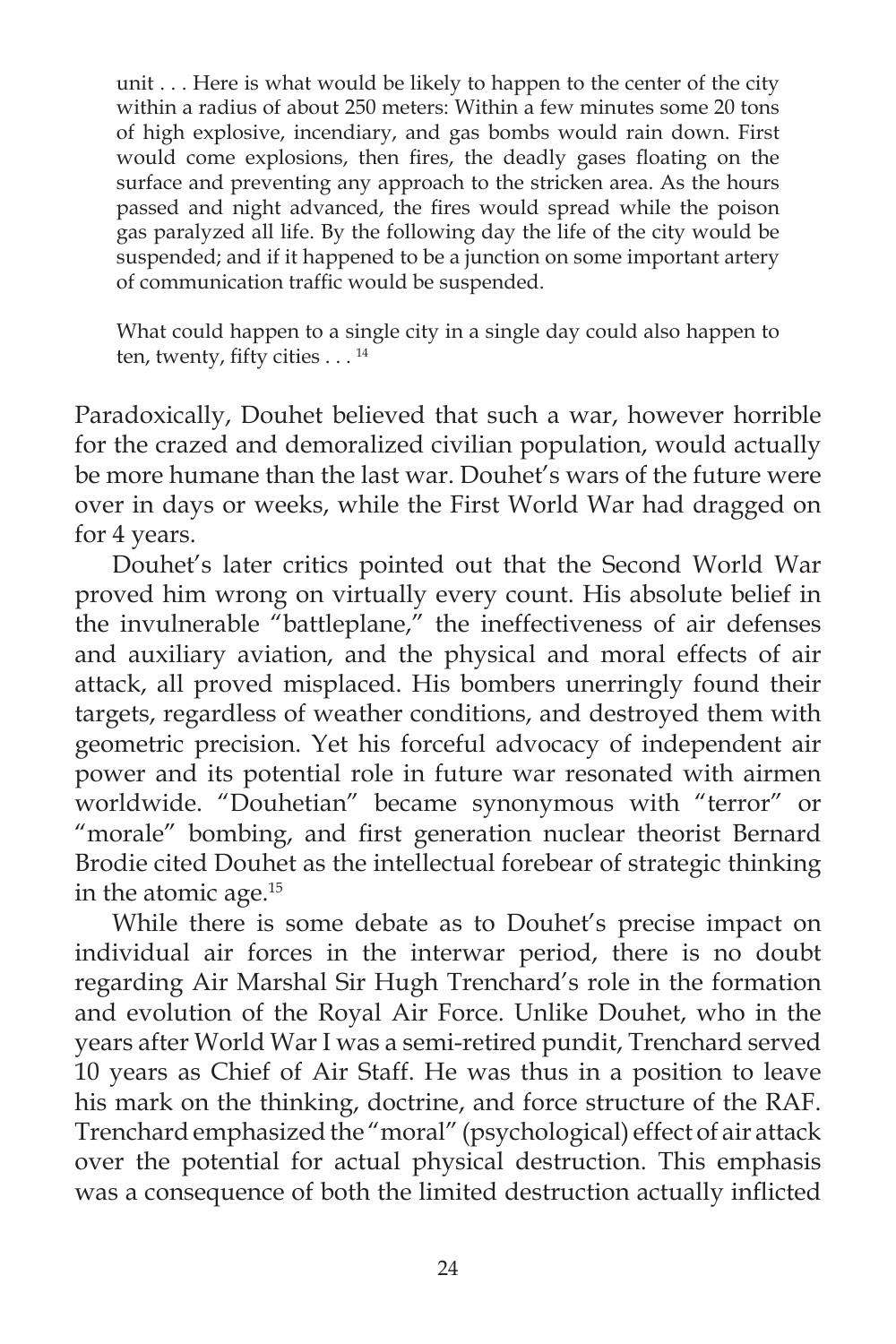unit . . . Here is what would be likely to happen to the center of the city within a radius of about 250 meters: Within a few minutes some 20 tons of high explosive, incendiary, and gas bombs would rain down. First would come explosions, then fires, the deadly gases floating on the surface and preventing any approach to the stricken area. As the hours passed and night advanced, the fires would spread while the poison gas paralyzed all life. By the following day the life of the city would be suspended; and if it happened to be a junction on some important artery of communication traffic would be suspended.

What could happen to a single city in a single day could also happen to ten, twenty, fifty cities  $\dots$ <sup>14</sup>

Paradoxically, Douhet believed that such a war, however horrible for the crazed and demoralized civilian population, would actually be more humane than the last war. Douhet's wars of the future were over in days or weeks, while the First World War had dragged on for 4 years.

 Douhet's later critics pointed out that the Second World War proved him wrong on virtually every count. His absolute belief in the invulnerable "battleplane," the ineffectiveness of air defenses and auxiliary aviation, and the physical and moral effects of air attack, all proved misplaced. His bombers unerringly found their targets, regardless of weather conditions, and destroyed them with geometric precision. Yet his forceful advocacy of independent air power and its potential role in future war resonated with airmen worldwide. "Douhetian" became synonymous with "terror" or "morale" bombing, and first generation nuclear theorist Bernard Brodie cited Douhet as the intellectual forebear of strategic thinking in the atomic age.15

 While there is some debate as to Douhet's precise impact on individual air forces in the interwar period, there is no doubt regarding Air Marshal Sir Hugh Trenchard's role in the formation and evolution of the Royal Air Force. Unlike Douhet, who in the years after World War I was a semi-retired pundit, Trenchard served 10 years as Chief of Air Staff. He was thus in a position to leave his mark on the thinking, doctrine, and force structure of the RAF. Trenchard emphasized the "moral" (psychological) effect of air attack over the potential for actual physical destruction. This emphasis was a consequence of both the limited destruction actually inflicted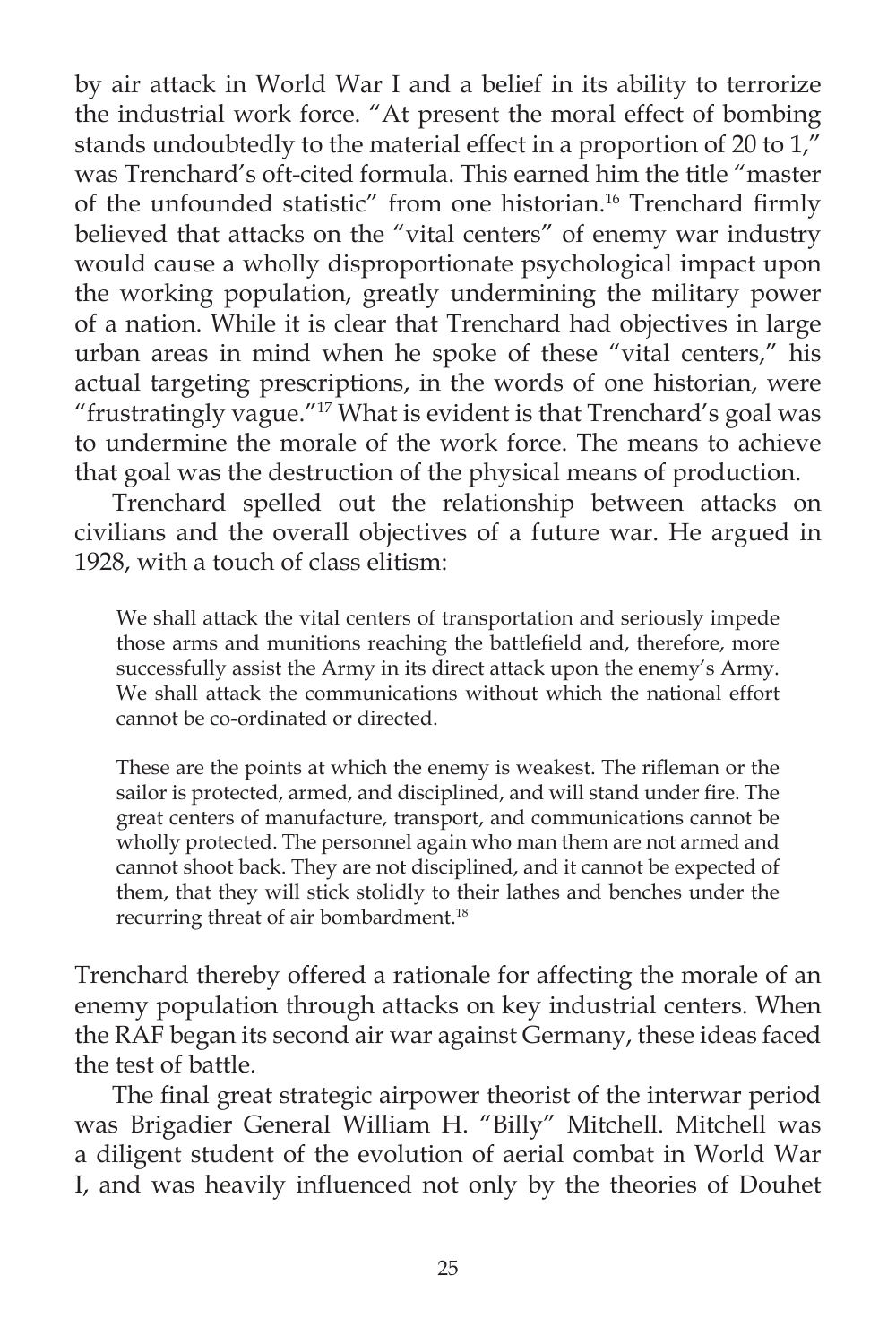by air attack in World War I and a belief in its ability to terrorize the industrial work force. "At present the moral effect of bombing stands undoubtedly to the material effect in a proportion of 20 to  $1,$ <sup>"</sup> was Trenchard's oft-cited formula. This earned him the title "master of the unfounded statistic" from one historian.<sup>16</sup> Trenchard firmly believed that attacks on the "vital centers" of enemy war industry would cause a wholly disproportionate psychological impact upon the working population, greatly undermining the military power of a nation. While it is clear that Trenchard had objectives in large urban areas in mind when he spoke of these "vital centers," his actual targeting prescriptions, in the words of one historian, were "frustratingly vague."17 What is evident is that Trenchard's goal was to undermine the morale of the work force. The means to achieve that goal was the destruction of the physical means of production.

 Trenchard spelled out the relationship between attacks on civilians and the overall objectives of a future war. He argued in 1928, with a touch of class elitism:

We shall attack the vital centers of transportation and seriously impede those arms and munitions reaching the battlefield and, therefore, more successfully assist the Army in its direct attack upon the enemy's Army. We shall attack the communications without which the national effort cannot be co-ordinated or directed.

These are the points at which the enemy is weakest. The rifleman or the sailor is protected, armed, and disciplined, and will stand under fire. The great centers of manufacture, transport, and communications cannot be wholly protected. The personnel again who man them are not armed and cannot shoot back. They are not disciplined, and it cannot be expected of them, that they will stick stolidly to their lathes and benches under the recurring threat of air bombardment.<sup>18</sup>

Trenchard thereby offered a rationale for affecting the morale of an enemy population through attacks on key industrial centers. When the RAF began its second air war against Germany, these ideas faced the test of battle.

The final great strategic airpower theorist of the interwar period was Brigadier General William H. "Billy" Mitchell. Mitchell was a diligent student of the evolution of aerial combat in World War I, and was heavily influenced not only by the theories of Douhet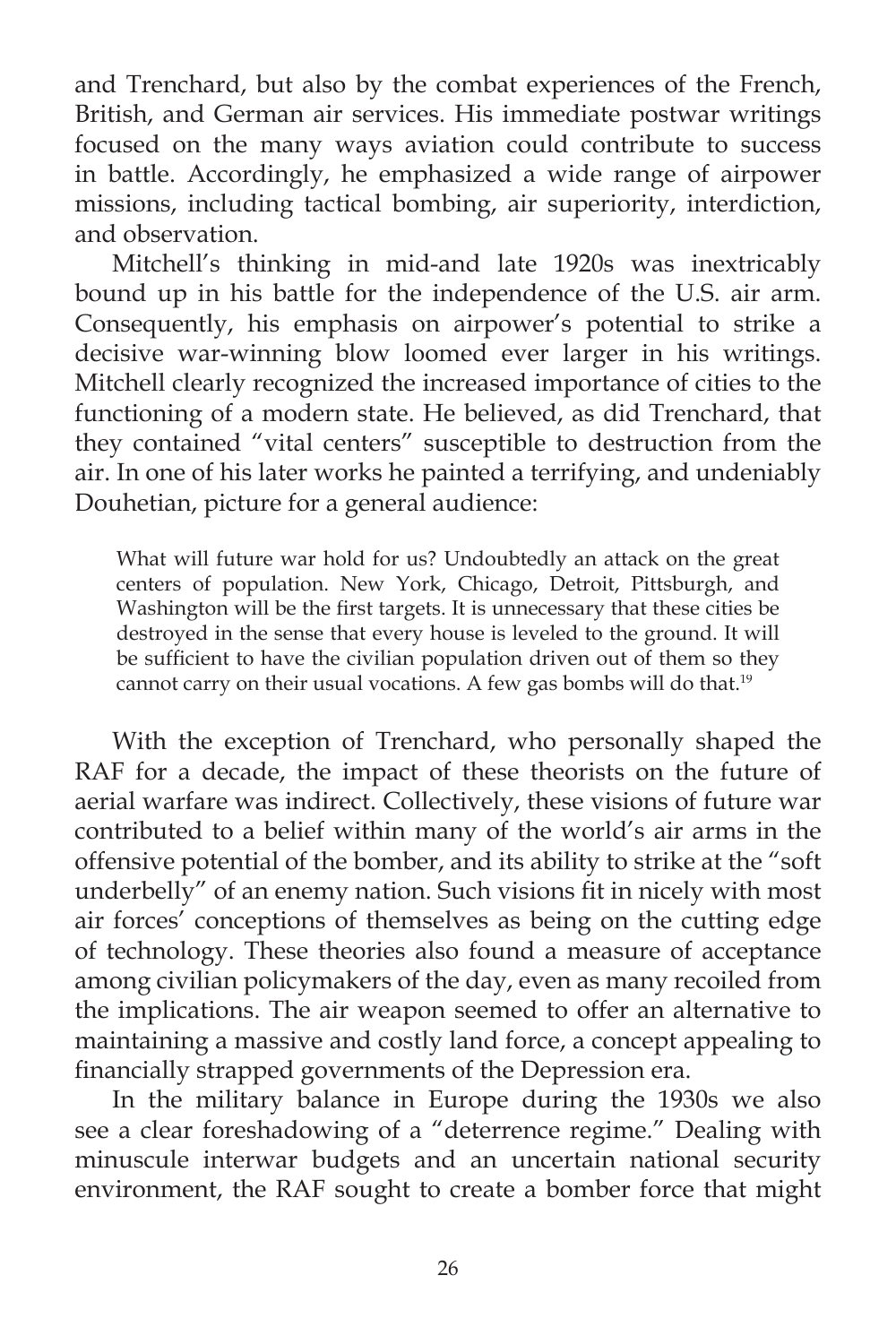and Trenchard, but also by the combat experiences of the French, British, and German air services. His immediate postwar writings focused on the many ways aviation could contribute to success in battle. Accordingly, he emphasized a wide range of airpower missions, including tactical bombing, air superiority, interdiction, and observation.

 Mitchell's thinking in mid-and late 1920s was inextricably bound up in his battle for the independence of the U.S. air arm. Consequently, his emphasis on airpower's potential to strike a decisive war-winning blow loomed ever larger in his writings. Mitchell clearly recognized the increased importance of cities to the functioning of a modern state. He believed, as did Trenchard, that they contained "vital centers" susceptible to destruction from the air. In one of his later works he painted a terrifying, and undeniably Douhetian, picture for a general audience:

What will future war hold for us? Undoubtedly an attack on the great centers of population. New York, Chicago, Detroit, Pittsburgh, and Washington will be the first targets. It is unnecessary that these cities be destroyed in the sense that every house is leveled to the ground. It will be sufficient to have the civilian population driven out of them so they cannot carry on their usual vocations. A few gas bombs will do that.<sup>19</sup>

 With the exception of Trenchard, who personally shaped the RAF for a decade, the impact of these theorists on the future of aerial warfare was indirect. Collectively, these visions of future war contributed to a belief within many of the world's air arms in the offensive potential of the bomber, and its ability to strike at the "soft underbelly" of an enemy nation. Such visions fit in nicely with most air forces' conceptions of themselves as being on the cutting edge of technology. These theories also found a measure of acceptance among civilian policymakers of the day, even as many recoiled from the implications. The air weapon seemed to offer an alternative to maintaining a massive and costly land force, a concept appealing to financially strapped governments of the Depression era.

 In the military balance in Europe during the 1930s we also see a clear foreshadowing of a "deterrence regime." Dealing with minuscule interwar budgets and an uncertain national security environment, the RAF sought to create a bomber force that might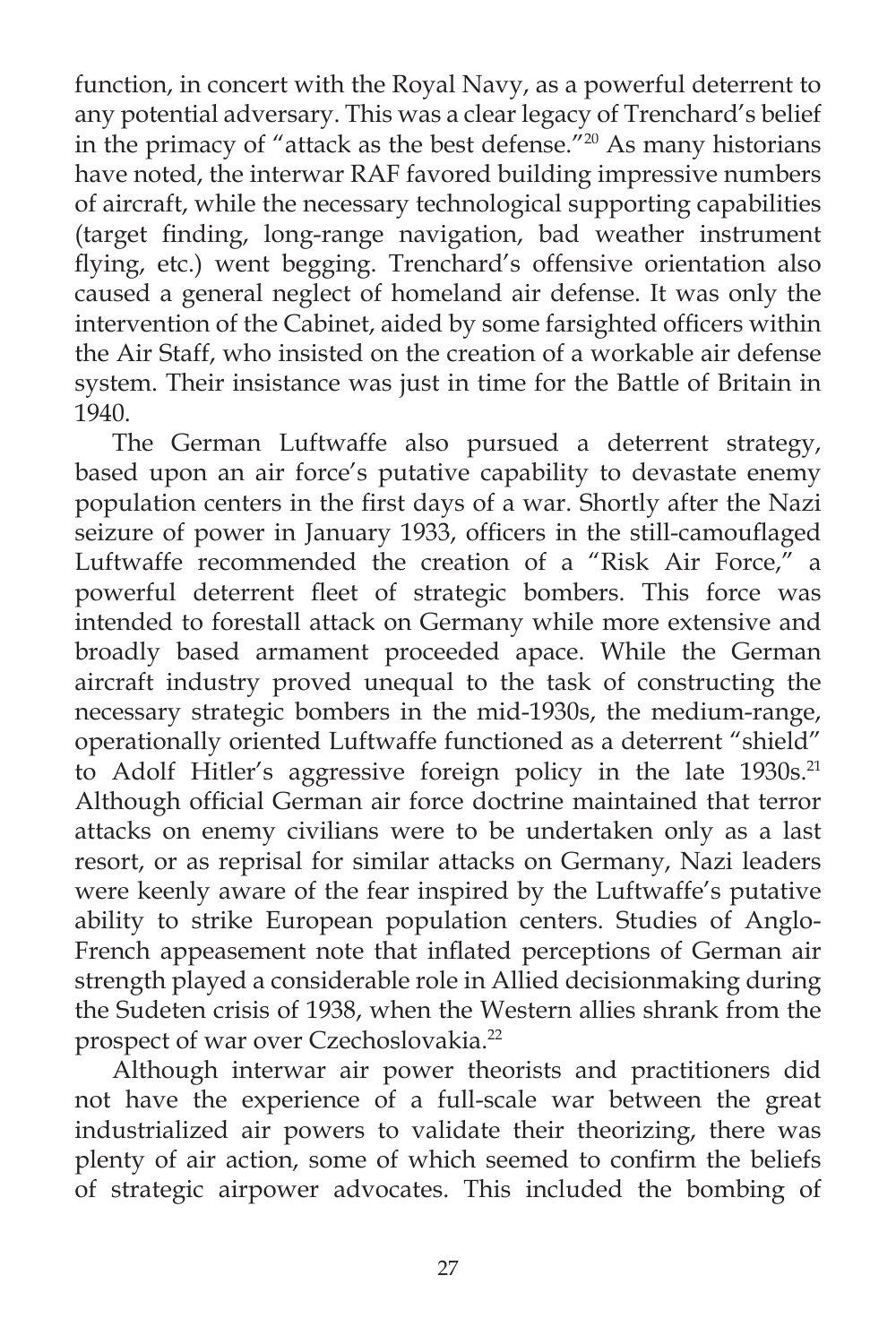function, in concert with the Royal Navy, as a powerful deterrent to any potential adversary. This was a clear legacy of Trenchard's belief in the primacy of "attack as the best defense."20 As many historians have noted, the interwar RAF favored building impressive numbers of aircraft, while the necessary technological supporting capabilities (target finding, long-range navigation, bad weather instrument flying, etc.) went begging. Trenchard's offensive orientation also caused a general neglect of homeland air defense. It was only the intervention of the Cabinet, aided by some farsighted officers within the Air Staff, who insisted on the creation of a workable air defense system. Their insistance was just in time for the Battle of Britain in 1940.

 The German Luftwaffe also pursued a deterrent strategy, based upon an air force's putative capability to devastate enemy population centers in the first days of a war. Shortly after the Nazi seizure of power in January 1933, officers in the still-camouflaged Luftwaffe recommended the creation of a "Risk Air Force," a powerful deterrent fleet of strategic bombers. This force was intended to forestall attack on Germany while more extensive and broadly based armament proceeded apace. While the German aircraft industry proved unequal to the task of constructing the necessary strategic bombers in the mid-1930s, the medium-range, operationally oriented Luftwaffe functioned as a deterrent "shield" to Adolf Hitler's aggressive foreign policy in the late 1930s.<sup>21</sup> Although official German air force doctrine maintained that terror attacks on enemy civilians were to be undertaken only as a last resort, or as reprisal for similar attacks on Germany, Nazi leaders were keenly aware of the fear inspired by the Luftwaffe's putative ability to strike European population centers. Studies of Anglo-French appeasement note that inflated perceptions of German air strength played a considerable role in Allied decisionmaking during the Sudeten crisis of 1938, when the Western allies shrank from the prospect of war over Czechoslovakia.22

 Although interwar air power theorists and practitioners did not have the experience of a full-scale war between the great industrialized air powers to validate their theorizing, there was plenty of air action, some of which seemed to confirm the beliefs of strategic airpower advocates. This included the bombing of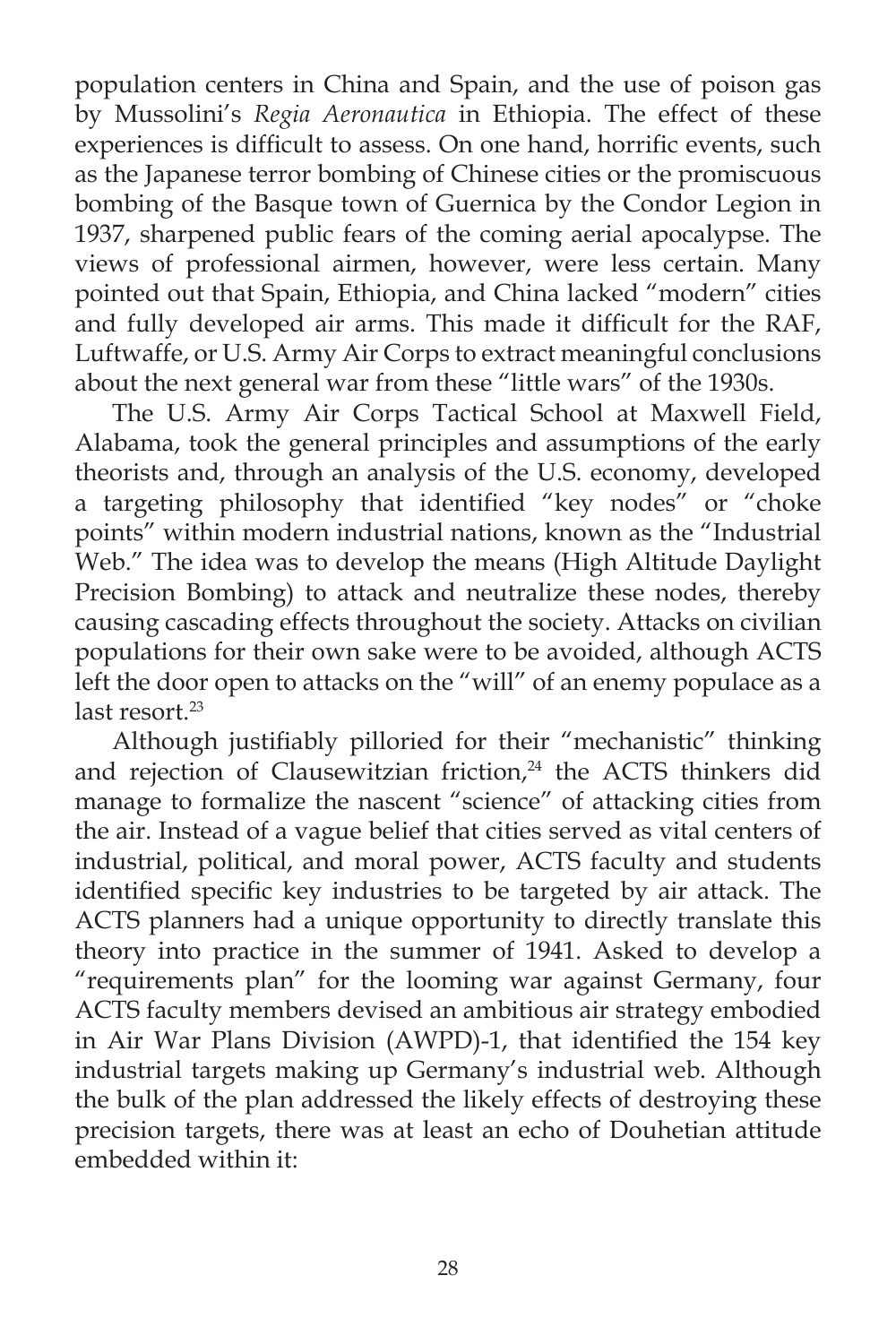population centers in China and Spain, and the use of poison gas by Mussolini's *Regia Aeronautica* in Ethiopia. The effect of these experiences is difficult to assess. On one hand, horrific events, such as the Japanese terror bombing of Chinese cities or the promiscuous bombing of the Basque town of Guernica by the Condor Legion in 1937, sharpened public fears of the coming aerial apocalypse. The views of professional airmen, however, were less certain. Many pointed out that Spain, Ethiopia, and China lacked "modern" cities and fully developed air arms. This made it difficult for the RAF, Luftwaffe, or U.S. Army Air Corps to extract meaningful conclusions about the next general war from these "little wars" of the 1930s.

 The U.S. Army Air Corps Tactical School at Maxwell Field, Alabama, took the general principles and assumptions of the early theorists and, through an analysis of the U.S. economy, developed a targeting philosophy that identified "key nodes" or "choke points" within modern industrial nations, known as the "Industrial Web." The idea was to develop the means (High Altitude Daylight Precision Bombing) to attack and neutralize these nodes, thereby causing cascading effects throughout the society. Attacks on civilian populations for their own sake were to be avoided, although ACTS left the door open to attacks on the "will" of an enemy populace as a last resort.<sup>23</sup>

Although justifiably pilloried for their "mechanistic" thinking and rejection of Clausewitzian friction,<sup>24</sup> the ACTS thinkers did manage to formalize the nascent "science" of attacking cities from the air. Instead of a vague belief that cities served as vital centers of industrial, political, and moral power, ACTS faculty and students identified specific key industries to be targeted by air attack. The ACTS planners had a unique opportunity to directly translate this theory into practice in the summer of 1941. Asked to develop a "requirements plan" for the looming war against Germany, four ACTS faculty members devised an ambitious air strategy embodied in Air War Plans Division (AWPD)-1, that identified the 154 key industrial targets making up Germany's industrial web. Although the bulk of the plan addressed the likely effects of destroying these precision targets, there was at least an echo of Douhetian attitude embedded within it: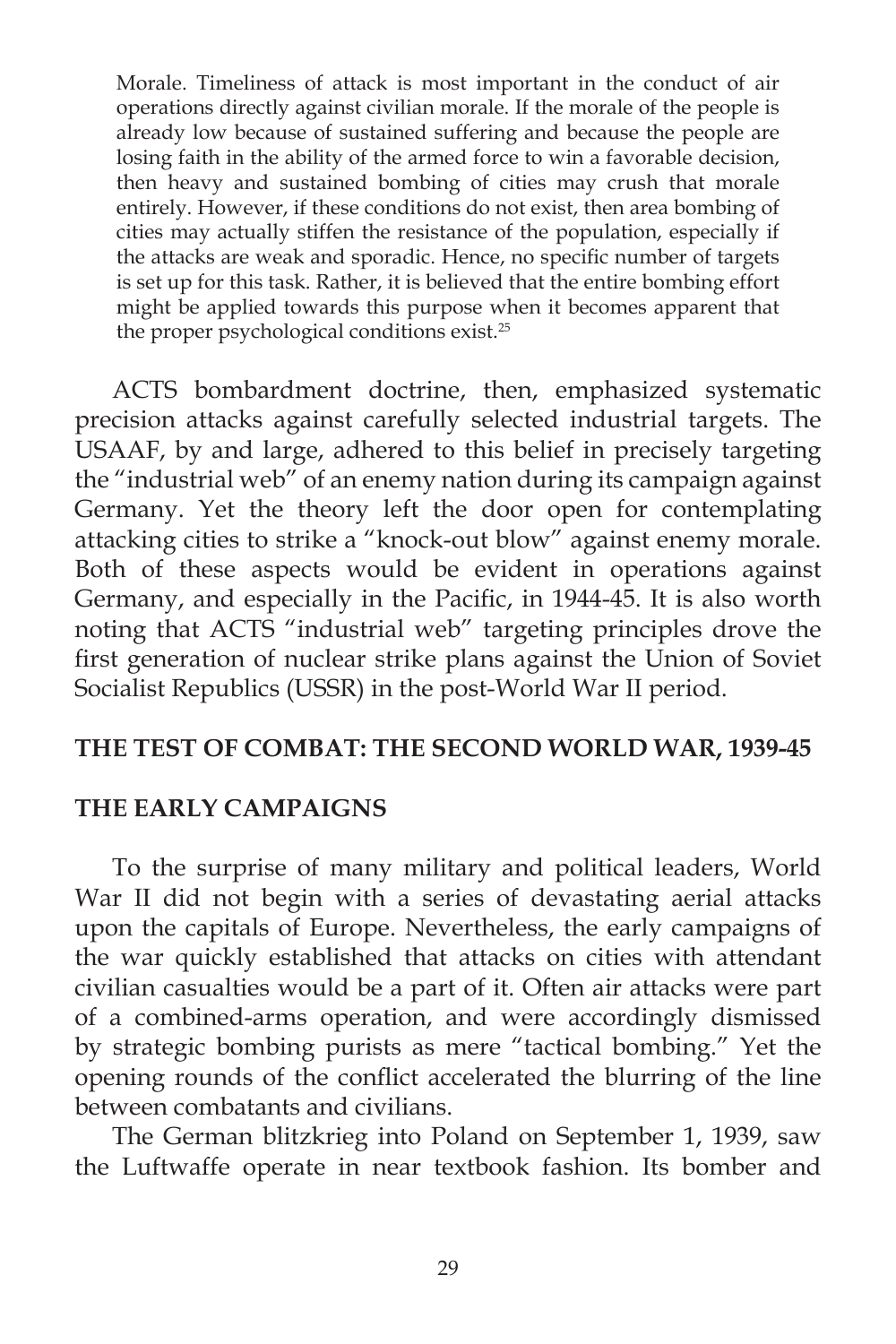Morale. Timeliness of attack is most important in the conduct of air operations directly against civilian morale. If the morale of the people is already low because of sustained suffering and because the people are losing faith in the ability of the armed force to win a favorable decision, then heavy and sustained bombing of cities may crush that morale entirely. However, if these conditions do not exist, then area bombing of cities may actually stiffen the resistance of the population, especially if the attacks are weak and sporadic. Hence, no specific number of targets is set up for this task. Rather, it is believed that the entire bombing effort might be applied towards this purpose when it becomes apparent that the proper psychological conditions exist.25

 ACTS bombardment doctrine, then, emphasized systematic precision attacks against carefully selected industrial targets. The USAAF, by and large, adhered to this belief in precisely targeting the "industrial web" of an enemy nation during its campaign against Germany. Yet the theory left the door open for contemplating attacking cities to strike a "knock-out blow" against enemy morale. Both of these aspects would be evident in operations against Germany, and especially in the Pacific, in 1944-45. It is also worth noting that ACTS "industrial web" targeting principles drove the first generation of nuclear strike plans against the Union of Soviet Socialist Republics (USSR) in the post-World War II period.

#### **THE TEST OF COMBAT: THE SECOND WORLD WAR, 1939-45**

#### **THE EARLY CAMPAIGNS**

 To the surprise of many military and political leaders, World War II did not begin with a series of devastating aerial attacks upon the capitals of Europe. Nevertheless, the early campaigns of the war quickly established that attacks on cities with attendant civilian casualties would be a part of it. Often air attacks were part of a combined-arms operation, and were accordingly dismissed by strategic bombing purists as mere "tactical bombing." Yet the opening rounds of the conflict accelerated the blurring of the line between combatants and civilians.

 The German blitzkrieg into Poland on September 1, 1939, saw the Luftwaffe operate in near textbook fashion. Its bomber and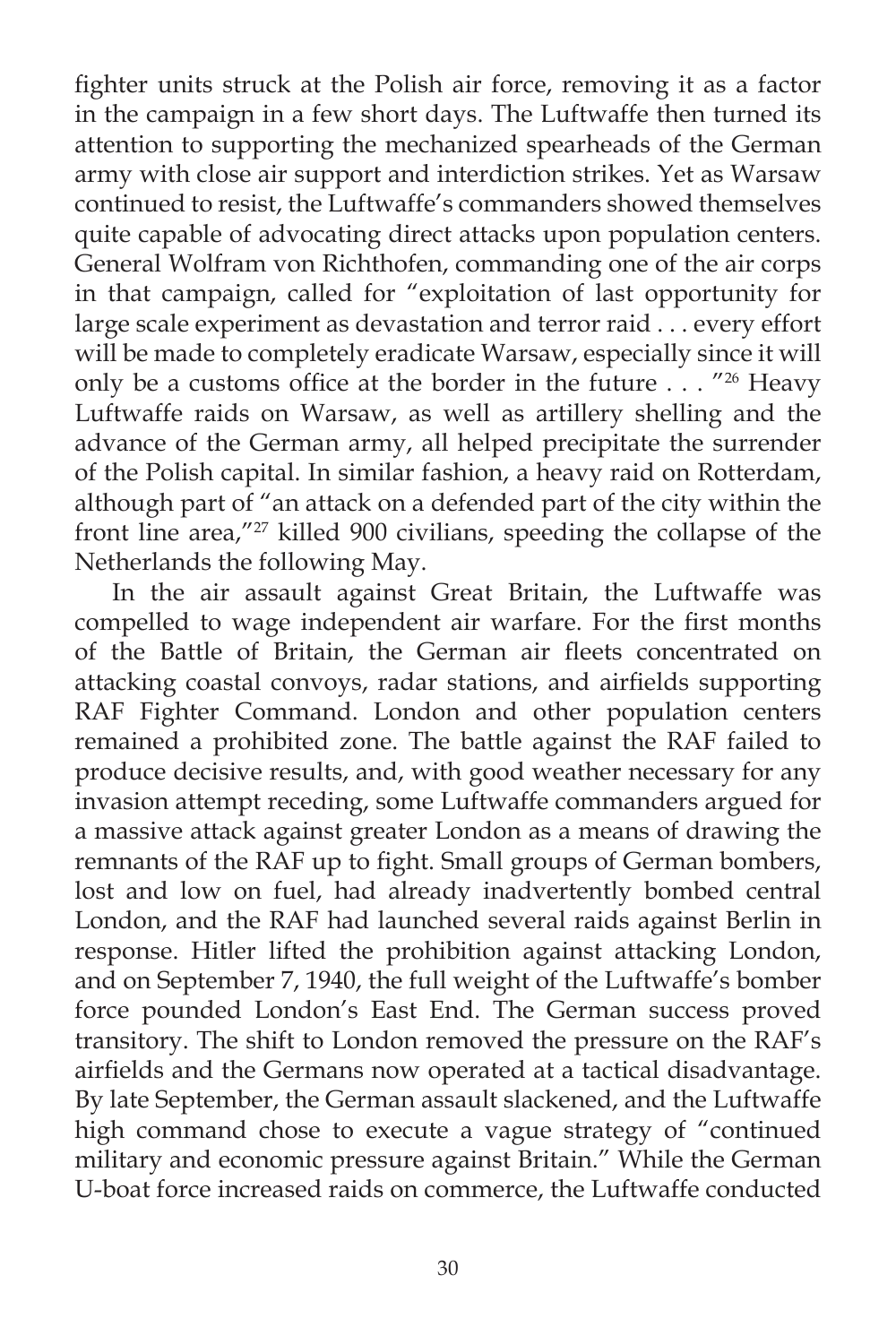fighter units struck at the Polish air force, removing it as a factor in the campaign in a few short days. The Luftwaffe then turned its attention to supporting the mechanized spearheads of the German army with close air support and interdiction strikes. Yet as Warsaw continued to resist, the Luftwaffe's commanders showed themselves quite capable of advocating direct attacks upon population centers. General Wolfram von Richthofen, commanding one of the air corps in that campaign, called for "exploitation of last opportunity for large scale experiment as devastation and terror raid . . . every effort will be made to completely eradicate Warsaw, especially since it will only be a customs office at the border in the future . . . "26 Heavy Luftwaffe raids on Warsaw, as well as artillery shelling and the advance of the German army, all helped precipitate the surrender of the Polish capital. In similar fashion, a heavy raid on Rotterdam, although part of "an attack on a defended part of the city within the front line area,"<sup>27</sup> killed 900 civilians, speeding the collapse of the Netherlands the following May.

 In the air assault against Great Britain, the Luftwaffe was compelled to wage independent air warfare. For the first months of the Battle of Britain, the German air fleets concentrated on attacking coastal convoys, radar stations, and airfields supporting RAF Fighter Command. London and other population centers remained a prohibited zone. The battle against the RAF failed to produce decisive results, and, with good weather necessary for any invasion attempt receding, some Luftwaffe commanders argued for a massive attack against greater London as a means of drawing the remnants of the RAF up to fight. Small groups of German bombers, lost and low on fuel, had already inadvertently bombed central London, and the RAF had launched several raids against Berlin in response. Hitler lifted the prohibition against attacking London, and on September 7, 1940, the full weight of the Luftwaffe's bomber force pounded London's East End. The German success proved transitory. The shift to London removed the pressure on the RAF's airfields and the Germans now operated at a tactical disadvantage. By late September, the German assault slackened, and the Luftwaffe high command chose to execute a vague strategy of "continued military and economic pressure against Britain." While the German U-boat force increased raids on commerce, the Luftwaffe conducted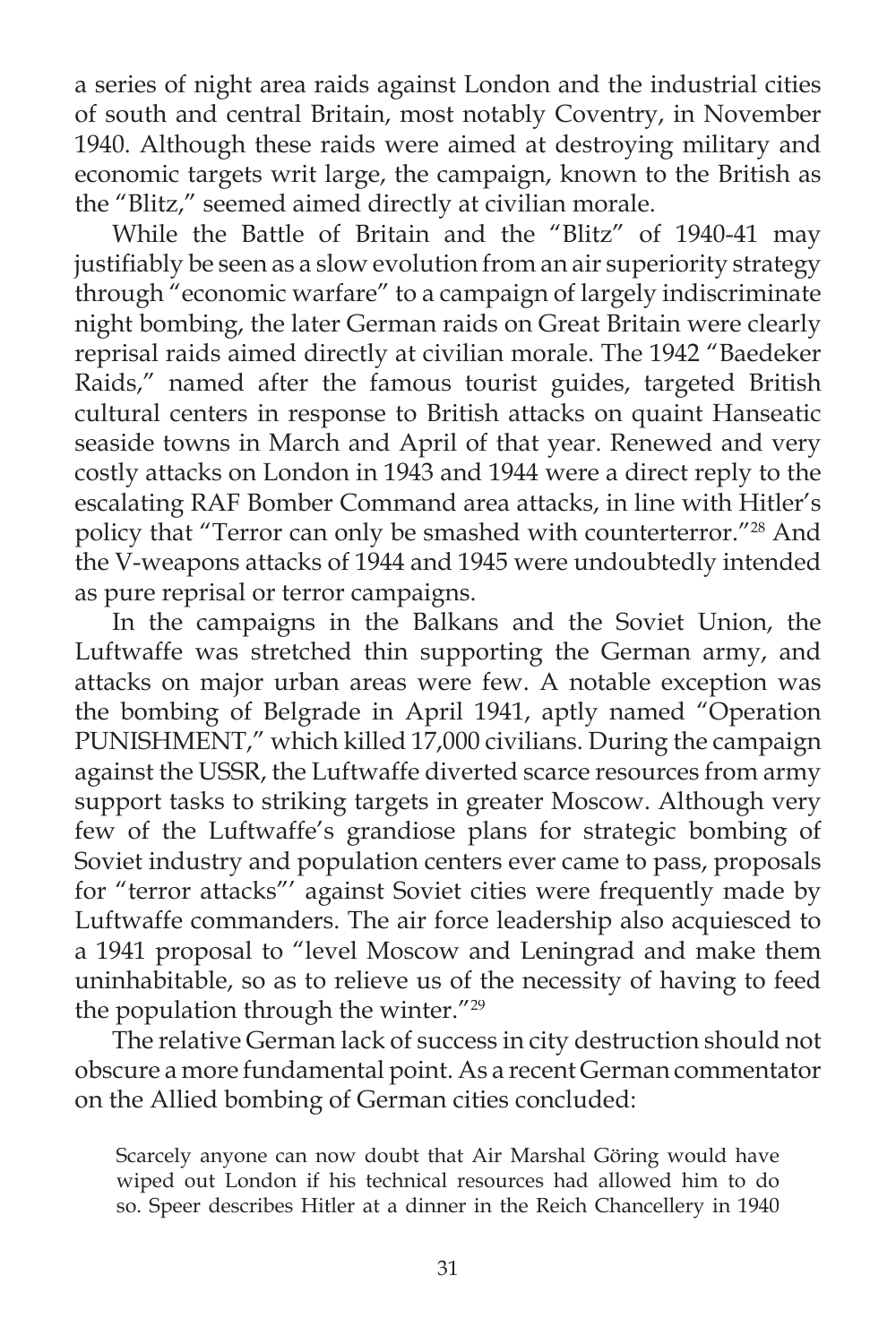a series of night area raids against London and the industrial cities of south and central Britain, most notably Coventry, in November 1940. Although these raids were aimed at destroying military and economic targets writ large, the campaign, known to the British as the "Blitz," seemed aimed directly at civilian morale.

 While the Battle of Britain and the "Blitz" of 1940-41 may justifiably be seen as a slow evolution from an air superiority strategy through "economic warfare" to a campaign of largely indiscriminate night bombing, the later German raids on Great Britain were clearly reprisal raids aimed directly at civilian morale. The 1942 "Baedeker Raids," named after the famous tourist guides, targeted British cultural centers in response to British attacks on quaint Hanseatic seaside towns in March and April of that year. Renewed and very costly attacks on London in 1943 and 1944 were a direct reply to the escalating RAF Bomber Command area attacks, in line with Hitler's policy that "Terror can only be smashed with counterterror."28 And the V-weapons attacks of 1944 and 1945 were undoubtedly intended as pure reprisal or terror campaigns.

 In the campaigns in the Balkans and the Soviet Union, the Luftwaffe was stretched thin supporting the German army, and attacks on major urban areas were few. A notable exception was the bombing of Belgrade in April 1941, aptly named "Operation PUNISHMENT," which killed 17,000 civilians. During the campaign against the USSR, the Luftwaffe diverted scarce resources from army support tasks to striking targets in greater Moscow. Although very few of the Luftwaffe's grandiose plans for strategic bombing of Soviet industry and population centers ever came to pass, proposals for "terror attacks"' against Soviet cities were frequently made by Luftwaffe commanders. The air force leadership also acquiesced to a 1941 proposal to "level Moscow and Leningrad and make them uninhabitable, so as to relieve us of the necessity of having to feed the population through the winter."29

 The relative German lack of success in city destruction should not obscure a more fundamental point. As a recent German commentator on the Allied bombing of German cities concluded:

Scarcely anyone can now doubt that Air Marshal Göring would have wiped out London if his technical resources had allowed him to do so. Speer describes Hitler at a dinner in the Reich Chancellery in 1940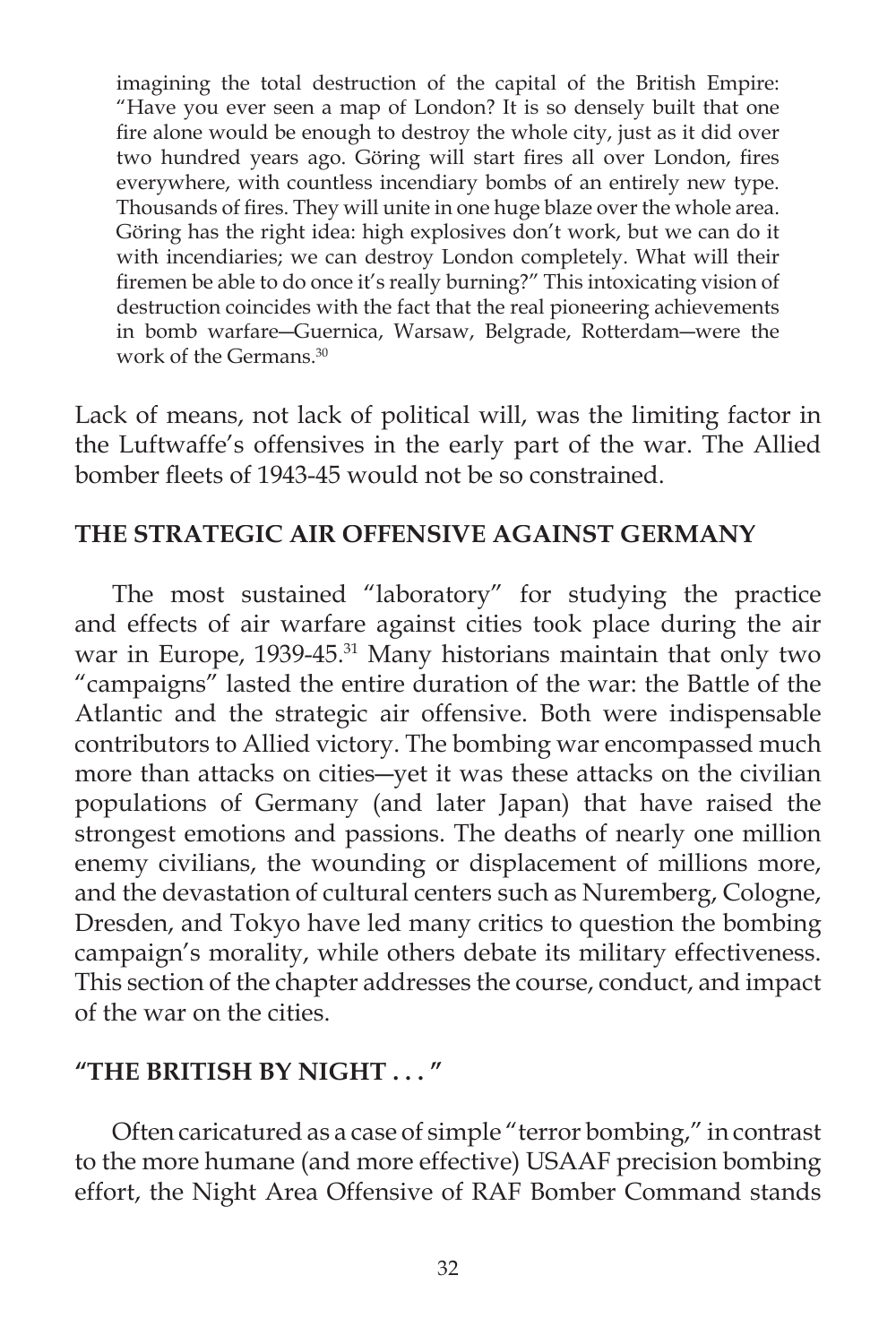imagining the total destruction of the capital of the British Empire: "Have you ever seen a map of London? It is so densely built that one fire alone would be enough to destroy the whole city, just as it did over two hundred years ago. Göring will start fires all over London, fires everywhere, with countless incendiary bombs of an entirely new type. Thousands of fires. They will unite in one huge blaze over the whole area. Göring has the right idea: high explosives don't work, but we can do it with incendiaries; we can destroy London completely. What will their firemen be able to do once it's really burning?" This intoxicating vision of destruction coincides with the fact that the real pioneering achievements in bomb warfare―Guernica, Warsaw, Belgrade, Rotterdam―were the work of the Germans.30

Lack of means, not lack of political will, was the limiting factor in the Luftwaffe's offensives in the early part of the war. The Allied bomber fleets of 1943-45 would not be so constrained.

# **THE STRATEGIC AIR OFFENSIVE AGAINST GERMANY**

 The most sustained "laboratory" for studying the practice and effects of air warfare against cities took place during the air war in Europe, 1939-45.<sup>31</sup> Many historians maintain that only two "campaigns" lasted the entire duration of the war: the Battle of the Atlantic and the strategic air offensive. Both were indispensable contributors to Allied victory. The bombing war encompassed much more than attacks on cities―yet it was these attacks on the civilian populations of Germany (and later Japan) that have raised the strongest emotions and passions. The deaths of nearly one million enemy civilians, the wounding or displacement of millions more, and the devastation of cultural centers such as Nuremberg, Cologne, Dresden, and Tokyo have led many critics to question the bombing campaign's morality, while others debate its military effectiveness. This section of the chapter addresses the course, conduct, and impact of the war on the cities.

# **"THE BRITISH BY NIGHT . . . "**

 Often caricatured as a case of simple "terror bombing," in contrast to the more humane (and more effective) USAAF precision bombing effort, the Night Area Offensive of RAF Bomber Command stands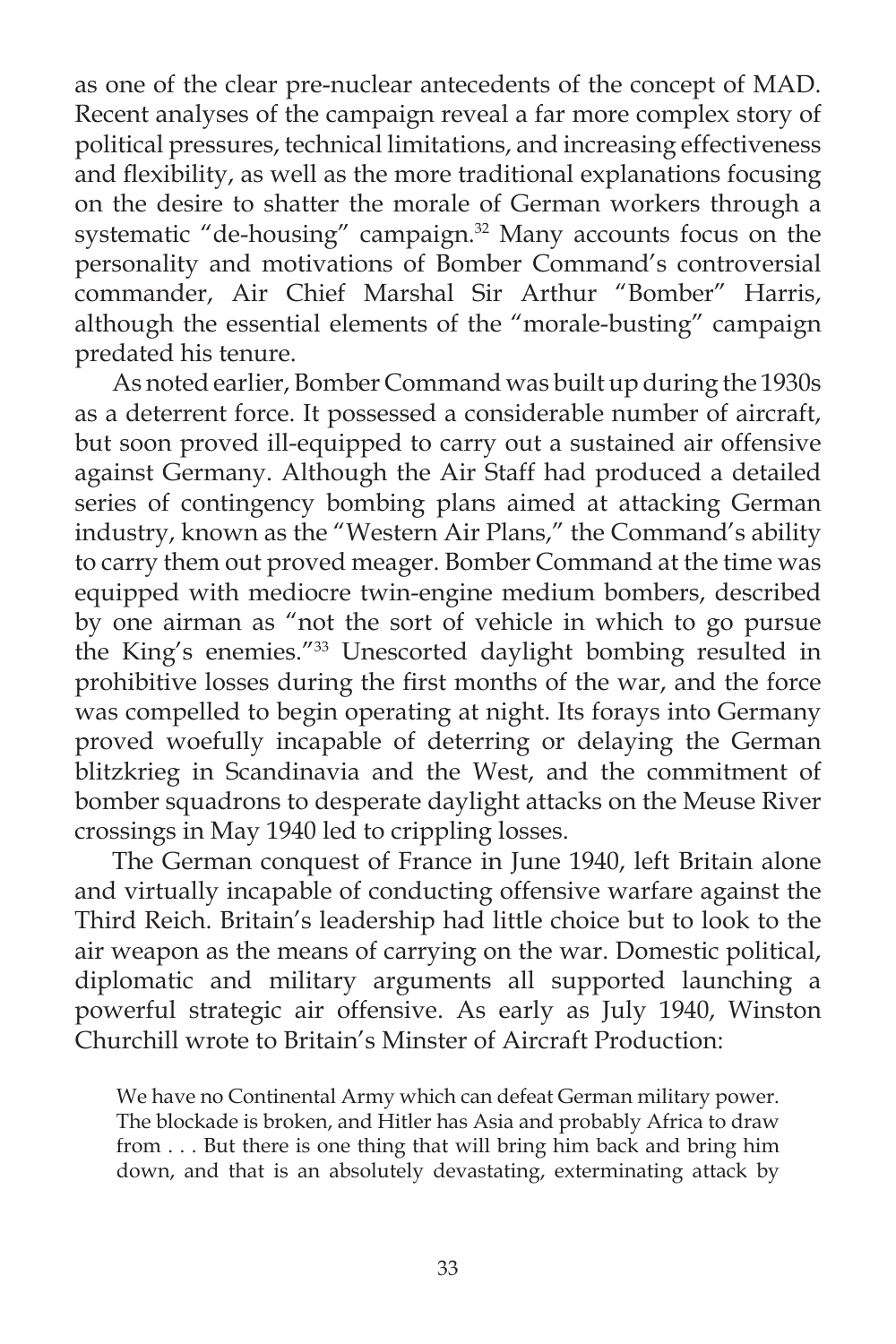as one of the clear pre-nuclear antecedents of the concept of MAD. Recent analyses of the campaign reveal a far more complex story of political pressures, technical limitations, and increasing effectiveness and flexibility, as well as the more traditional explanations focusing on the desire to shatter the morale of German workers through a systematic "de-housing" campaign.<sup>32</sup> Many accounts focus on the personality and motivations of Bomber Command's controversial commander, Air Chief Marshal Sir Arthur "Bomber" Harris, although the essential elements of the "morale-busting" campaign predated his tenure.

 As noted earlier, Bomber Command was built up during the 1930s as a deterrent force. It possessed a considerable number of aircraft, but soon proved ill-equipped to carry out a sustained air offensive against Germany. Although the Air Staff had produced a detailed series of contingency bombing plans aimed at attacking German industry, known as the "Western Air Plans," the Command's ability to carry them out proved meager. Bomber Command at the time was equipped with mediocre twin-engine medium bombers, described by one airman as "not the sort of vehicle in which to go pursue the King's enemies."33 Unescorted daylight bombing resulted in prohibitive losses during the first months of the war, and the force was compelled to begin operating at night. Its forays into Germany proved woefully incapable of deterring or delaying the German blitzkrieg in Scandinavia and the West, and the commitment of bomber squadrons to desperate daylight attacks on the Meuse River crossings in May 1940 led to crippling losses.

 The German conquest of France in June 1940, left Britain alone and virtually incapable of conducting offensive warfare against the Third Reich. Britain's leadership had little choice but to look to the air weapon as the means of carrying on the war. Domestic political, diplomatic and military arguments all supported launching a powerful strategic air offensive. As early as July 1940, Winston Churchill wrote to Britain's Minster of Aircraft Production:

We have no Continental Army which can defeat German military power. The blockade is broken, and Hitler has Asia and probably Africa to draw from . . . But there is one thing that will bring him back and bring him down, and that is an absolutely devastating, exterminating attack by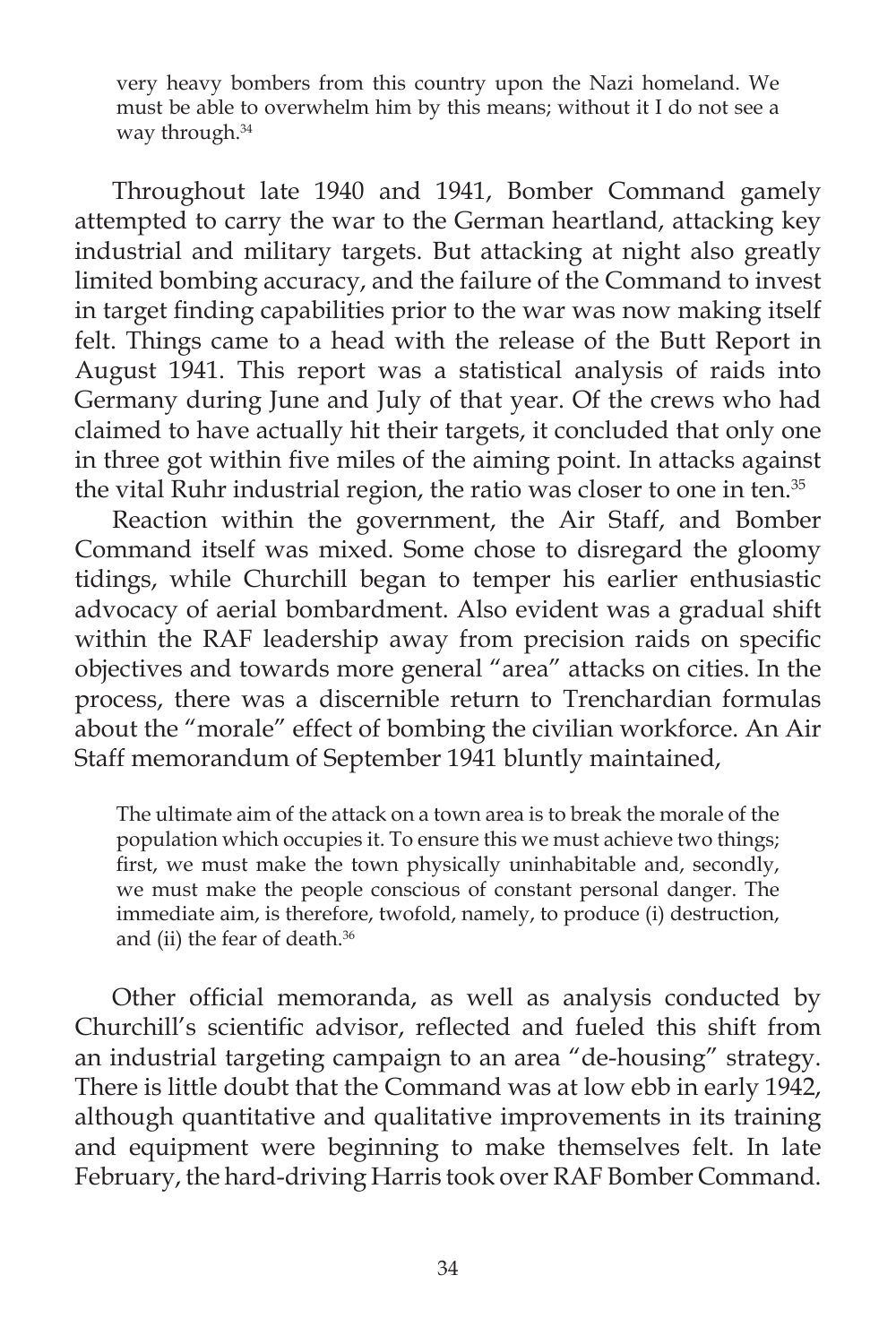very heavy bombers from this country upon the Nazi homeland. We must be able to overwhelm him by this means; without it I do not see a way through.<sup>34</sup>

 Throughout late 1940 and 1941, Bomber Command gamely attempted to carry the war to the German heartland, attacking key industrial and military targets. But attacking at night also greatly limited bombing accuracy, and the failure of the Command to invest in target finding capabilities prior to the war was now making itself felt. Things came to a head with the release of the Butt Report in August 1941. This report was a statistical analysis of raids into Germany during June and July of that year. Of the crews who had claimed to have actually hit their targets, it concluded that only one in three got within five miles of the aiming point. In attacks against the vital Ruhr industrial region, the ratio was closer to one in ten.35

 Reaction within the government, the Air Staff, and Bomber Command itself was mixed. Some chose to disregard the gloomy tidings, while Churchill began to temper his earlier enthusiastic advocacy of aerial bombardment. Also evident was a gradual shift within the RAF leadership away from precision raids on specific objectives and towards more general "area" attacks on cities. In the process, there was a discernible return to Trenchardian formulas about the "morale" effect of bombing the civilian workforce. An Air Staff memorandum of September 1941 bluntly maintained,

The ultimate aim of the attack on a town area is to break the morale of the population which occupies it. To ensure this we must achieve two things; first, we must make the town physically uninhabitable and, secondly, we must make the people conscious of constant personal danger. The immediate aim, is therefore, twofold, namely, to produce (i) destruction, and (ii) the fear of death.36

Other official memoranda, as well as analysis conducted by Churchill's scientific advisor, reflected and fueled this shift from an industrial targeting campaign to an area "de-housing" strategy. There is little doubt that the Command was at low ebb in early 1942, although quantitative and qualitative improvements in its training and equipment were beginning to make themselves felt. In late February, the hard-driving Harris took over RAF Bomber Command.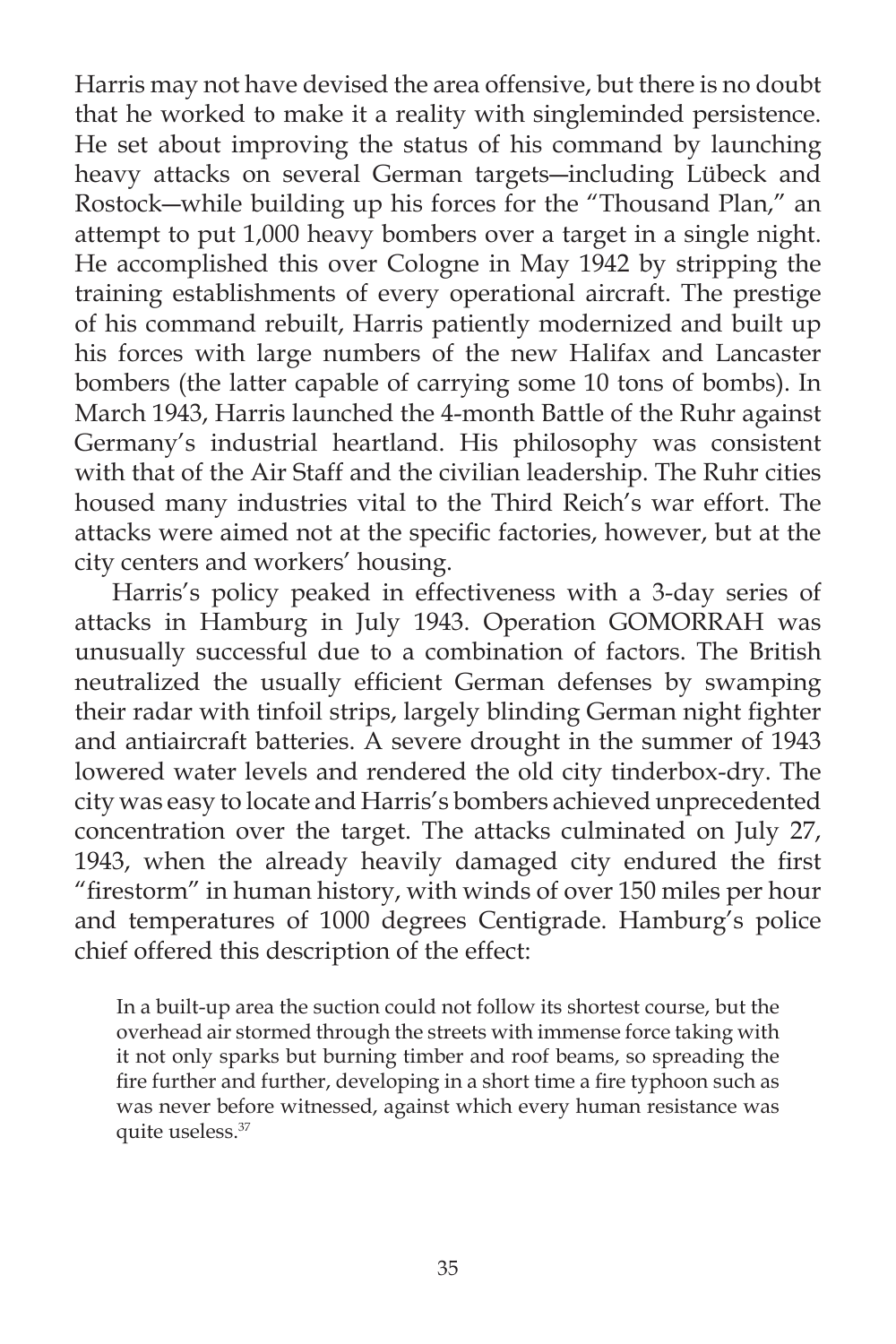Harris may not have devised the area offensive, but there is no doubt that he worked to make it a reality with singleminded persistence. He set about improving the status of his command by launching heavy attacks on several German targets―including Lübeck and Rostock―while building up his forces for the "Thousand Plan," an attempt to put 1,000 heavy bombers over a target in a single night. He accomplished this over Cologne in May 1942 by stripping the training establishments of every operational aircraft. The prestige of his command rebuilt, Harris patiently modernized and built up his forces with large numbers of the new Halifax and Lancaster bombers (the latter capable of carrying some 10 tons of bombs). In March 1943, Harris launched the 4-month Battle of the Ruhr against Germany's industrial heartland. His philosophy was consistent with that of the Air Staff and the civilian leadership. The Ruhr cities housed many industries vital to the Third Reich's war effort. The attacks were aimed not at the specific factories, however, but at the city centers and workers' housing.

 Harris's policy peaked in effectiveness with a 3-day series of attacks in Hamburg in July 1943. Operation GOMORRAH was unusually successful due to a combination of factors. The British neutralized the usually efficient German defenses by swamping their radar with tinfoil strips, largely blinding German night fighter and antiaircraft batteries. A severe drought in the summer of 1943 lowered water levels and rendered the old city tinderbox-dry. The city was easy to locate and Harris's bombers achieved unprecedented concentration over the target. The attacks culminated on July 27, 1943, when the already heavily damaged city endured the first "firestorm" in human history, with winds of over 150 miles per hour and temperatures of 1000 degrees Centigrade. Hamburg's police chief offered this description of the effect:

In a built-up area the suction could not follow its shortest course, but the overhead air stormed through the streets with immense force taking with it not only sparks but burning timber and roof beams, so spreading the fire further and further, developing in a short time a fire typhoon such as was never before witnessed, against which every human resistance was quite useless.37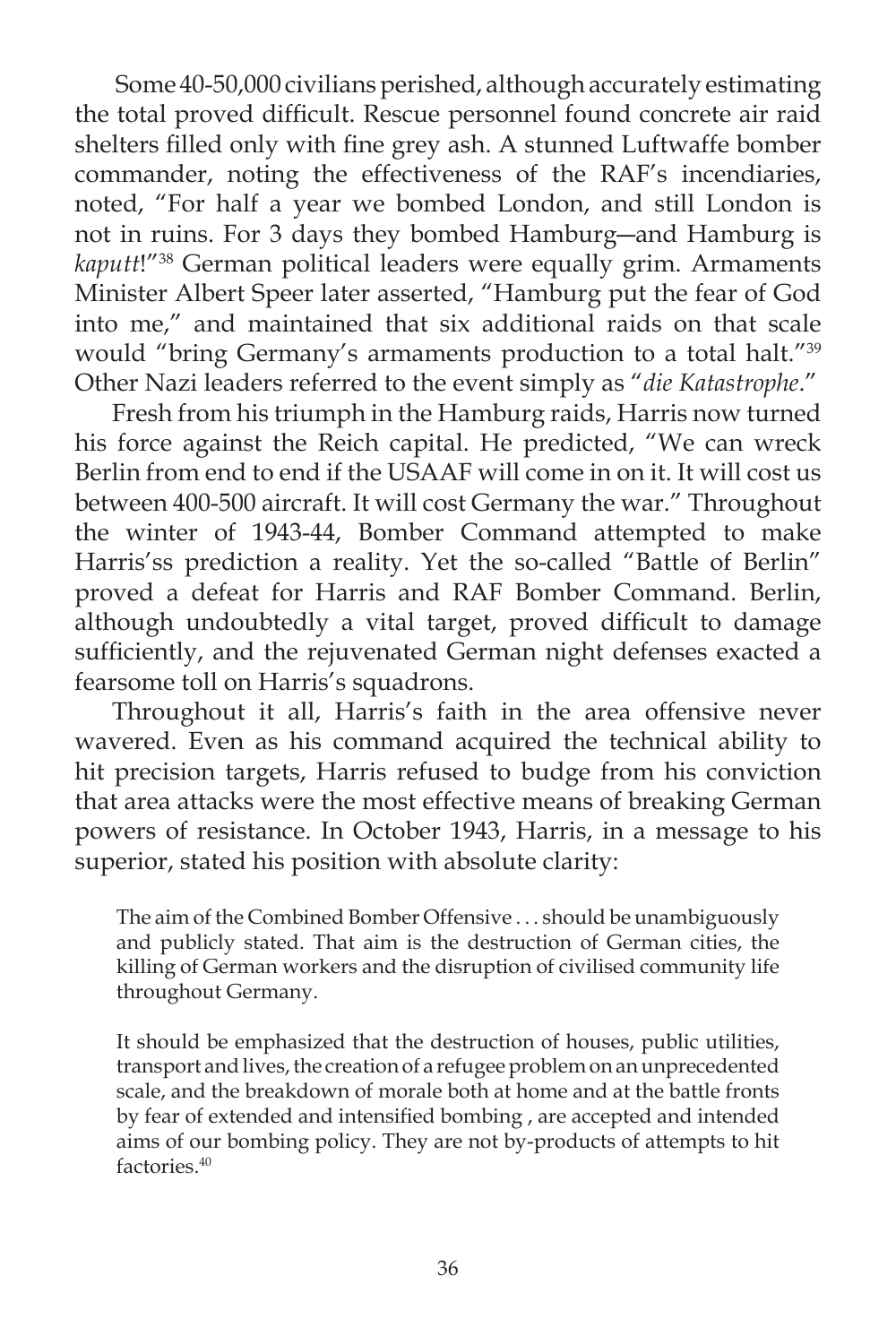Some 40-50,000 civilians perished, although accurately estimating the total proved difficult. Rescue personnel found concrete air raid shelters filled only with fine grey ash. A stunned Luftwaffe bomber commander, noting the effectiveness of the RAF's incendiaries, noted, "For half a year we bombed London, and still London is not in ruins. For 3 days they bombed Hamburg―and Hamburg is *kaputt*!"38 German political leaders were equally grim. Armaments Minister Albert Speer later asserted, "Hamburg put the fear of God into me," and maintained that six additional raids on that scale would "bring Germany's armaments production to a total halt."39 Other Nazi leaders referred to the event simply as "*die Katastrophe*."

 Fresh from his triumph in the Hamburg raids, Harris now turned his force against the Reich capital. He predicted, "We can wreck Berlin from end to end if the USAAF will come in on it. It will cost us between 400-500 aircraft. It will cost Germany the war." Throughout the winter of 1943-44, Bomber Command attempted to make Harris'ss prediction a reality. Yet the so-called "Battle of Berlin" proved a defeat for Harris and RAF Bomber Command. Berlin, although undoubtedly a vital target, proved difficult to damage sufficiently, and the rejuvenated German night defenses exacted a fearsome toll on Harris's squadrons.

 Throughout it all, Harris's faith in the area offensive never wavered. Even as his command acquired the technical ability to hit precision targets, Harris refused to budge from his conviction that area attacks were the most effective means of breaking German powers of resistance. In October 1943, Harris, in a message to his superior, stated his position with absolute clarity:

The aim of the Combined Bomber Offensive . . . should be unambiguously and publicly stated. That aim is the destruction of German cities, the killing of German workers and the disruption of civilised community life throughout Germany.

It should be emphasized that the destruction of houses, public utilities, transport and lives, the creation of a refugee problem on an unprecedented scale, and the breakdown of morale both at home and at the battle fronts by fear of extended and intensified bombing, are accepted and intended aims of our bombing policy. They are not by-products of attempts to hit factories.40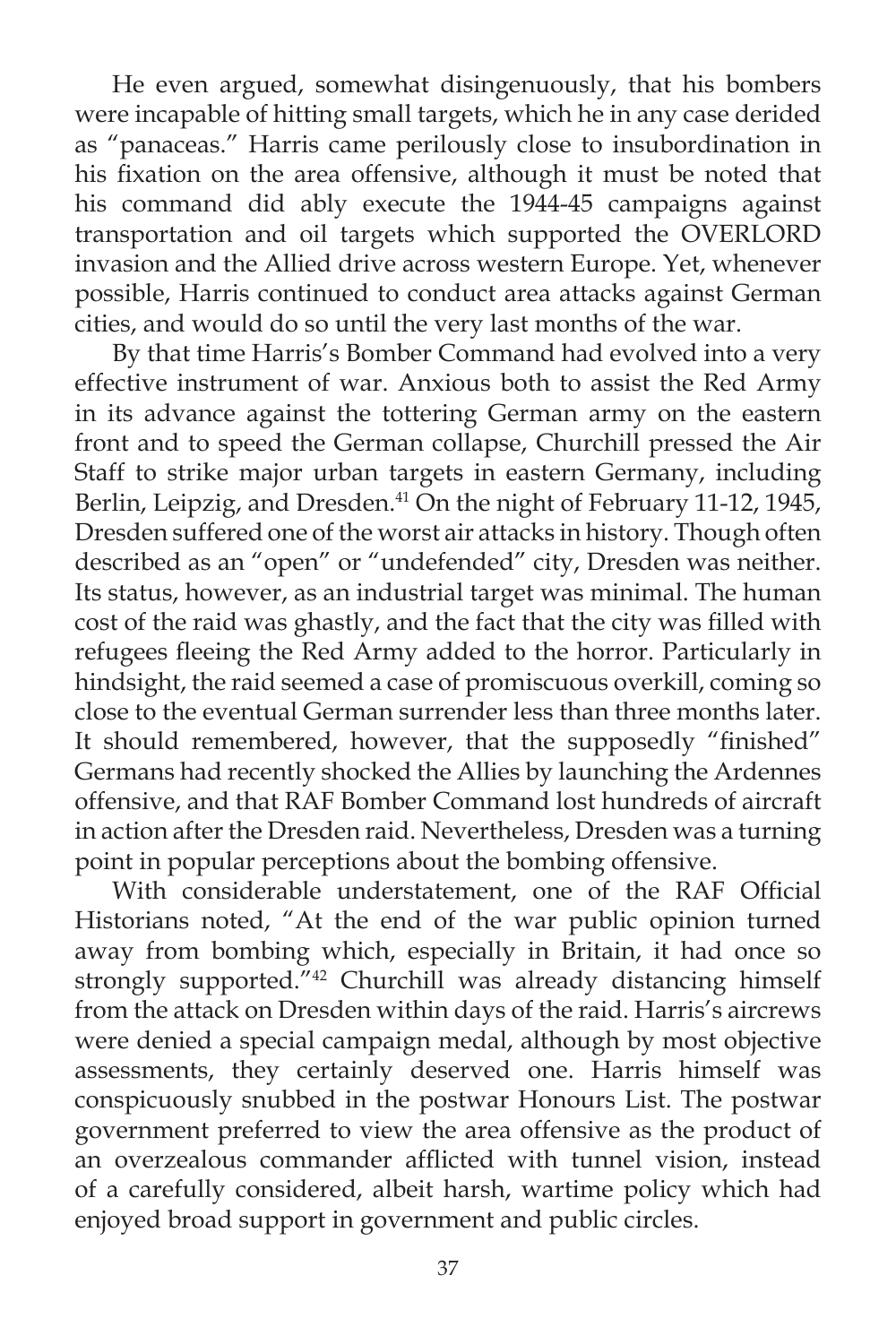He even argued, somewhat disingenuously, that his bombers were incapable of hitting small targets, which he in any case derided as "panaceas." Harris came perilously close to insubordination in his fixation on the area offensive, although it must be noted that his command did ably execute the 1944-45 campaigns against transportation and oil targets which supported the OVERLORD invasion and the Allied drive across western Europe. Yet, whenever possible, Harris continued to conduct area attacks against German cities, and would do so until the very last months of the war.

 By that time Harris's Bomber Command had evolved into a very effective instrument of war. Anxious both to assist the Red Army in its advance against the tottering German army on the eastern front and to speed the German collapse, Churchill pressed the Air Staff to strike major urban targets in eastern Germany, including Berlin, Leipzig, and Dresden.<sup>41</sup> On the night of February 11-12, 1945, Dresden suffered one of the worst air attacks in history. Though often described as an "open" or "undefended" city, Dresden was neither. Its status, however, as an industrial target was minimal. The human cost of the raid was ghastly, and the fact that the city was filled with refugees fleeing the Red Army added to the horror. Particularly in hindsight, the raid seemed a case of promiscuous overkill, coming so close to the eventual German surrender less than three months later. It should remembered, however, that the supposedly "finished" Germans had recently shocked the Allies by launching the Ardennes offensive, and that RAF Bomber Command lost hundreds of aircraft in action after the Dresden raid. Nevertheless, Dresden was a turning point in popular perceptions about the bombing offensive.

With considerable understatement, one of the RAF Official Historians noted, "At the end of the war public opinion turned away from bombing which, especially in Britain, it had once so strongly supported."<sup>42</sup> Churchill was already distancing himself from the attack on Dresden within days of the raid. Harris's aircrews were denied a special campaign medal, although by most objective assessments, they certainly deserved one. Harris himself was conspicuously snubbed in the postwar Honours List. The postwar government preferred to view the area offensive as the product of an overzealous commander afflicted with tunnel vision, instead of a carefully considered, albeit harsh, wartime policy which had enjoyed broad support in government and public circles.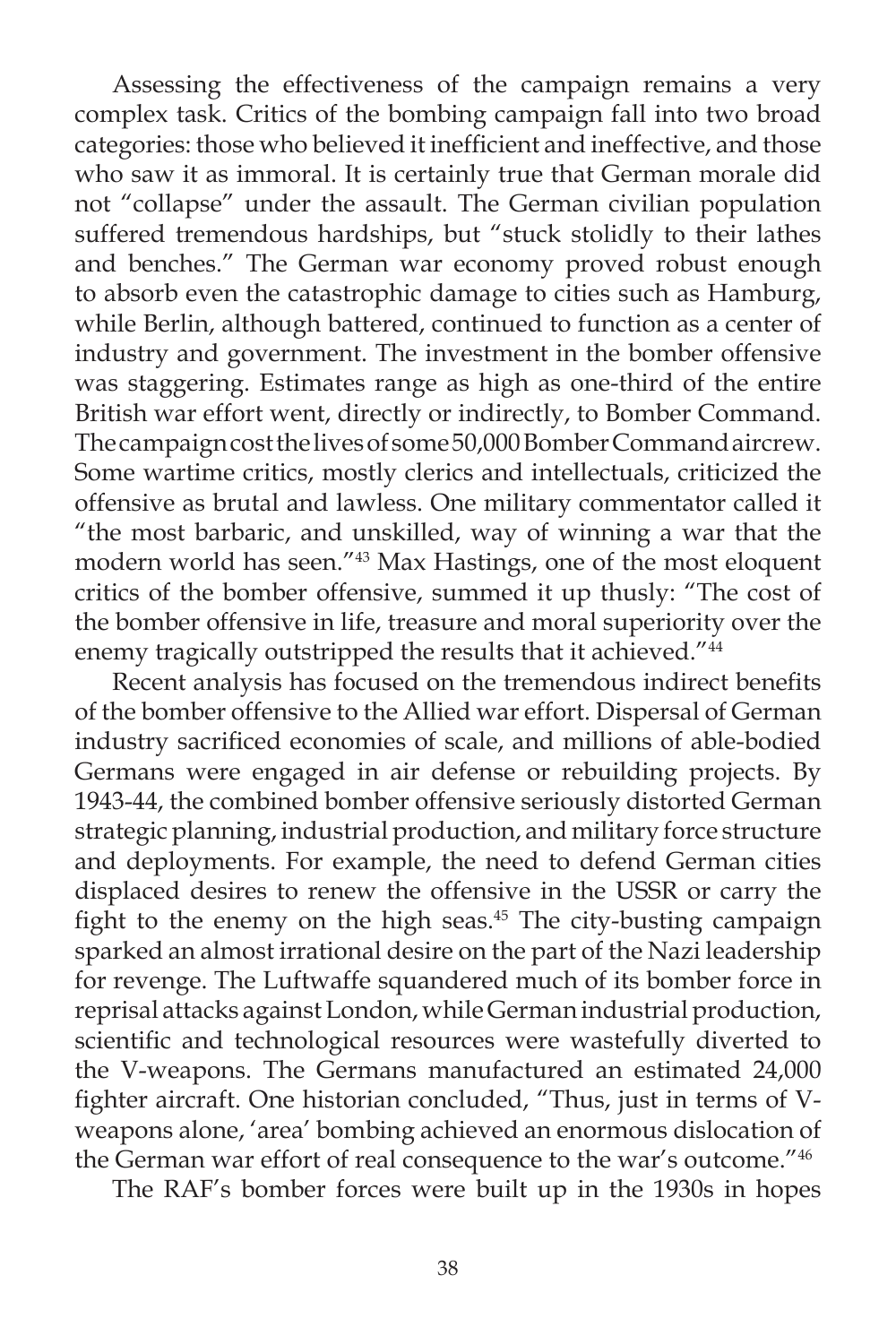Assessing the effectiveness of the campaign remains a very complex task. Critics of the bombing campaign fall into two broad categories: those who believed it inefficient and ineffective, and those who saw it as immoral. It is certainly true that German morale did not "collapse" under the assault. The German civilian population suffered tremendous hardships, but "stuck stolidly to their lathes and benches." The German war economy proved robust enough to absorb even the catastrophic damage to cities such as Hamburg, while Berlin, although battered, continued to function as a center of industry and government. The investment in the bomber offensive was staggering. Estimates range as high as one-third of the entire British war effort went, directly or indirectly, to Bomber Command. The campaign cost the lives of some 50,000 Bomber Command aircrew. Some wartime critics, mostly clerics and intellectuals, criticized the offensive as brutal and lawless. One military commentator called it "the most barbaric, and unskilled, way of winning a war that the modern world has seen."43 Max Hastings, one of the most eloquent critics of the bomber offensive, summed it up thusly: "The cost of the bomber offensive in life, treasure and moral superiority over the enemy tragically outstripped the results that it achieved."<sup>44</sup>

Recent analysis has focused on the tremendous indirect benefits of the bomber offensive to the Allied war effort. Dispersal of German industry sacrificed economies of scale, and millions of able-bodied Germans were engaged in air defense or rebuilding projects. By 1943-44, the combined bomber offensive seriously distorted German strategic planning, industrial production, and military force structure and deployments. For example, the need to defend German cities displaced desires to renew the offensive in the USSR or carry the fight to the enemy on the high seas. $45$  The city-busting campaign sparked an almost irrational desire on the part of the Nazi leadership for revenge. The Luftwaffe squandered much of its bomber force in reprisal attacks against London, while German industrial production, scientific and technological resources were wastefully diverted to the V-weapons. The Germans manufactured an estimated 24,000 fighter aircraft. One historian concluded, "Thus, just in terms of Vweapons alone, 'area' bombing achieved an enormous dislocation of the German war effort of real consequence to the war's outcome."46

The RAF's bomber forces were built up in the 1930s in hopes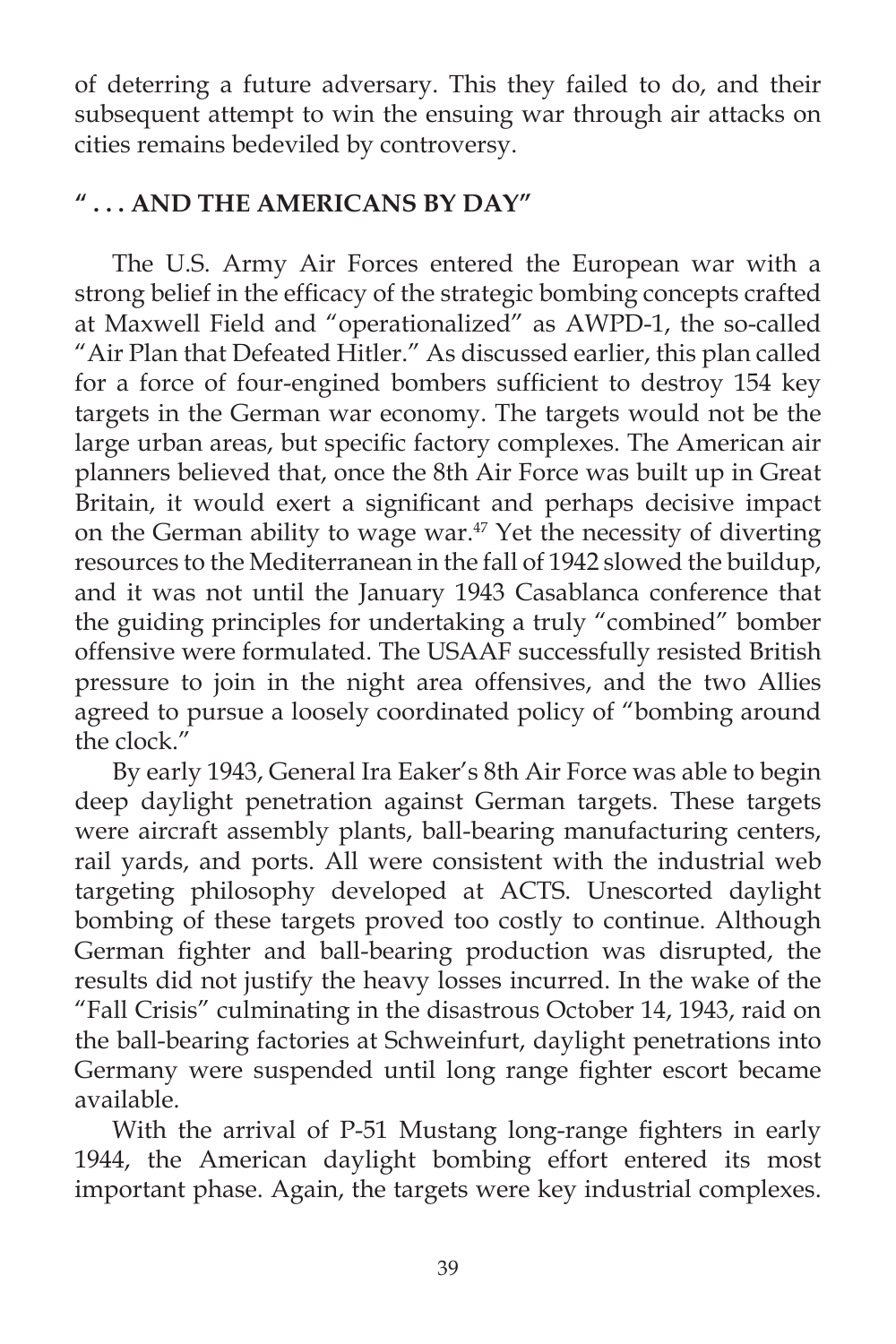of deterring a future adversary. This they failed to do, and their subsequent attempt to win the ensuing war through air attacks on cities remains bedeviled by controversy.

# **" . . . AND THE AMERICANS BY DAY"**

The U.S. Army Air Forces entered the European war with a strong belief in the efficacy of the strategic bombing concepts crafted at Maxwell Field and "operationalized" as AWPD-1, the so-called "Air Plan that Defeated Hitler." As discussed earlier, this plan called for a force of four-engined bombers sufficient to destroy 154 key targets in the German war economy. The targets would not be the large urban areas, but specific factory complexes. The American air planners believed that, once the 8th Air Force was built up in Great Britain, it would exert a significant and perhaps decisive impact on the German ability to wage war.<sup>47</sup> Yet the necessity of diverting resources to the Mediterranean in the fall of 1942 slowed the buildup, and it was not until the January 1943 Casablanca conference that the guiding principles for undertaking a truly "combined" bomber offensive were formulated. The USAAF successfully resisted British pressure to join in the night area offensives, and the two Allies agreed to pursue a loosely coordinated policy of "bombing around the clock."

 By early 1943, General Ira Eaker's 8th Air Force was able to begin deep daylight penetration against German targets. These targets were aircraft assembly plants, ball-bearing manufacturing centers, rail yards, and ports. All were consistent with the industrial web targeting philosophy developed at ACTS. Unescorted daylight bombing of these targets proved too costly to continue. Although German fighter and ball-bearing production was disrupted, the results did not justify the heavy losses incurred. In the wake of the "Fall Crisis" culminating in the disastrous October 14, 1943, raid on the ball-bearing factories at Schweinfurt, daylight penetrations into Germany were suspended until long range fighter escort became available.

With the arrival of P-51 Mustang long-range fighters in early 1944, the American daylight bombing effort entered its most important phase. Again, the targets were key industrial complexes.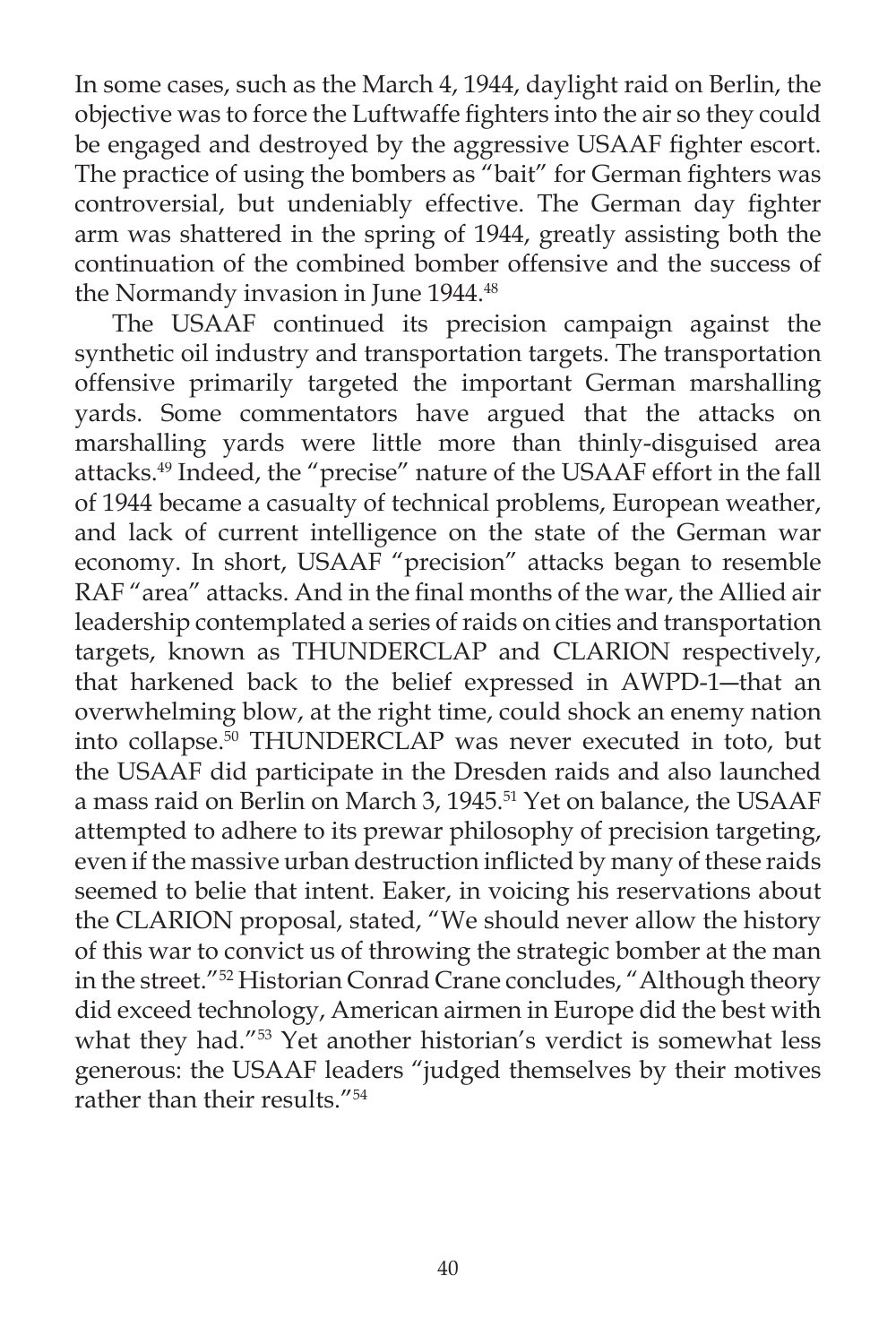In some cases, such as the March 4, 1944, daylight raid on Berlin, the objective was to force the Luftwaffe fighters into the air so they could be engaged and destroyed by the aggressive USAAF fighter escort. The practice of using the bombers as "bait" for German fighters was controversial, but undeniably effective. The German day fighter arm was shattered in the spring of 1944, greatly assisting both the continuation of the combined bomber offensive and the success of the Normandy invasion in June 1944.<sup>48</sup>

 The USAAF continued its precision campaign against the synthetic oil industry and transportation targets. The transportation offensive primarily targeted the important German marshalling yards. Some commentators have argued that the attacks on marshalling yards were little more than thinly-disguised area attacks.49 Indeed, the "precise" nature of the USAAF effort in the fall of 1944 became a casualty of technical problems, European weather, and lack of current intelligence on the state of the German war economy. In short, USAAF "precision" attacks began to resemble RAF "area" attacks. And in the final months of the war, the Allied air leadership contemplated a series of raids on cities and transportation targets, known as THUNDERCLAP and CLARION respectively, that harkened back to the belief expressed in AWPD-1―that an overwhelming blow, at the right time, could shock an enemy nation into collapse.50 THUNDERCLAP was never executed in toto, but the USAAF did participate in the Dresden raids and also launched a mass raid on Berlin on March 3, 1945.<sup>51</sup> Yet on balance, the USAAF attempted to adhere to its prewar philosophy of precision targeting, even if the massive urban destruction inflicted by many of these raids seemed to belie that intent. Eaker, in voicing his reservations about the CLARION proposal, stated, "We should never allow the history of this war to convict us of throwing the strategic bomber at the man in the street."52 Historian Conrad Crane concludes, "Although theory did exceed technology, American airmen in Europe did the best with what they had."<sup>53</sup> Yet another historian's verdict is somewhat less generous: the USAAF leaders "judged themselves by their motives rather than their results."54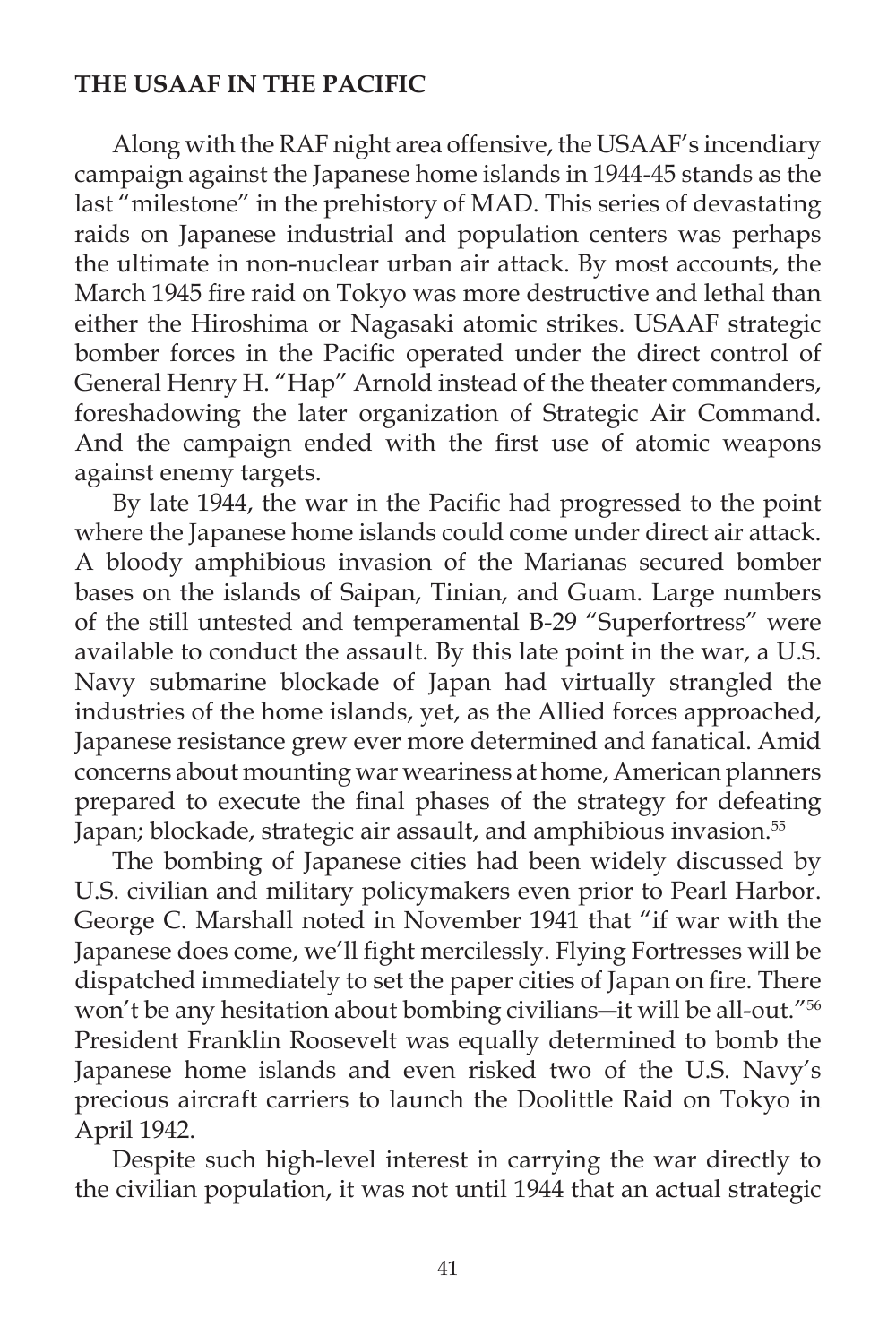# **THE USAAF IN THE PACIFIC**

 Along with the RAF night area offensive, the USAAF's incendiary campaign against the Japanese home islands in 1944-45 stands as the last "milestone" in the prehistory of MAD. This series of devastating raids on Japanese industrial and population centers was perhaps the ultimate in non-nuclear urban air attack. By most accounts, the March 1945 fire raid on Tokyo was more destructive and lethal than either the Hiroshima or Nagasaki atomic strikes. USAAF strategic bomber forces in the Pacific operated under the direct control of General Henry H. "Hap" Arnold instead of the theater commanders, foreshadowing the later organization of Strategic Air Command. And the campaign ended with the first use of atomic weapons against enemy targets.

By late 1944, the war in the Pacific had progressed to the point where the Japanese home islands could come under direct air attack. A bloody amphibious invasion of the Marianas secured bomber bases on the islands of Saipan, Tinian, and Guam. Large numbers of the still untested and temperamental B-29 "Superfortress" were available to conduct the assault. By this late point in the war, a U.S. Navy submarine blockade of Japan had virtually strangled the industries of the home islands, yet, as the Allied forces approached, Japanese resistance grew ever more determined and fanatical. Amid concerns about mounting war weariness at home, American planners prepared to execute the final phases of the strategy for defeating Japan; blockade, strategic air assault, and amphibious invasion.<sup>55</sup>

 The bombing of Japanese cities had been widely discussed by U.S. civilian and military policymakers even prior to Pearl Harbor. George C. Marshall noted in November 1941 that "if war with the Japanese does come, we'll fight mercilessly. Flying Fortresses will be dispatched immediately to set the paper cities of Japan on fire. There won't be any hesitation about bombing civilians―it will be all-out."56 President Franklin Roosevelt was equally determined to bomb the Japanese home islands and even risked two of the U.S. Navy's precious aircraft carriers to launch the Doolittle Raid on Tokyo in April 1942.

 Despite such high-level interest in carrying the war directly to the civilian population, it was not until 1944 that an actual strategic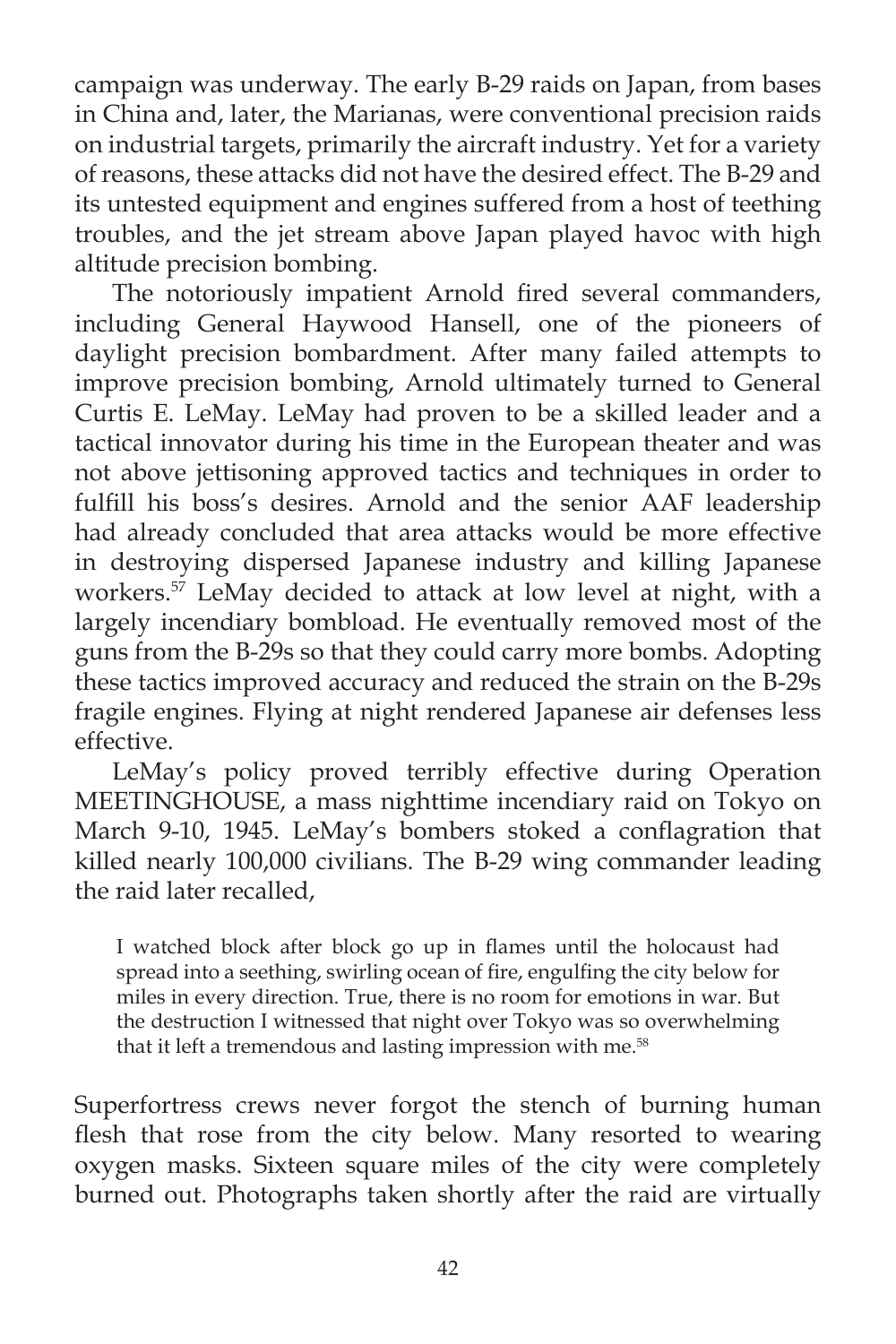campaign was underway. The early B-29 raids on Japan, from bases in China and, later, the Marianas, were conventional precision raids on industrial targets, primarily the aircraft industry. Yet for a variety of reasons, these attacks did not have the desired effect. The B-29 and its untested equipment and engines suffered from a host of teething troubles, and the jet stream above Japan played havoc with high altitude precision bombing.

The notoriously impatient Arnold fired several commanders, including General Haywood Hansell, one of the pioneers of daylight precision bombardment. After many failed attempts to improve precision bombing, Arnold ultimately turned to General Curtis E. LeMay. LeMay had proven to be a skilled leader and a tactical innovator during his time in the European theater and was not above jettisoning approved tactics and techniques in order to fulfill his boss's desires. Arnold and the senior AAF leadership had already concluded that area attacks would be more effective in destroying dispersed Japanese industry and killing Japanese workers.<sup>57</sup> LeMay decided to attack at low level at night, with a largely incendiary bombload. He eventually removed most of the guns from the B-29s so that they could carry more bombs. Adopting these tactics improved accuracy and reduced the strain on the B-29s fragile engines. Flying at night rendered Japanese air defenses less effective.

 LeMay's policy proved terribly effective during Operation MEETINGHOUSE, a mass nighttime incendiary raid on Tokyo on March 9-10, 1945. LeMay's bombers stoked a conflagration that killed nearly 100,000 civilians. The B-29 wing commander leading the raid later recalled,

I watched block after block go up in flames until the holocaust had spread into a seething, swirling ocean of fire, engulfing the city below for miles in every direction. True, there is no room for emotions in war. But the destruction I witnessed that night over Tokyo was so overwhelming that it left a tremendous and lasting impression with me.<sup>58</sup>

Superfortress crews never forgot the stench of burning human flesh that rose from the city below. Many resorted to wearing oxygen masks. Sixteen square miles of the city were completely burned out. Photographs taken shortly after the raid are virtually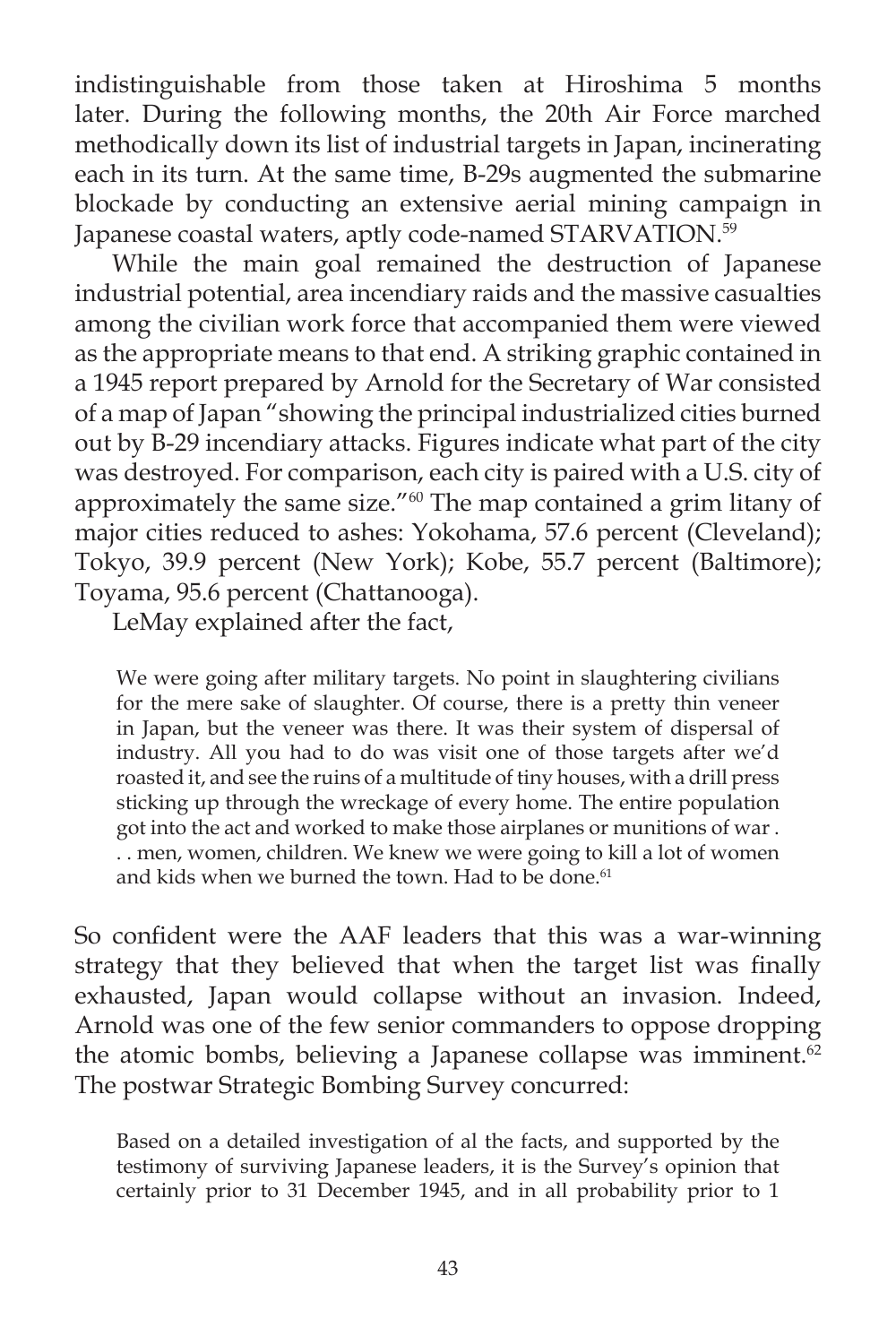indistinguishable from those taken at Hiroshima 5 months later. During the following months, the 20th Air Force marched methodically down its list of industrial targets in Japan, incinerating each in its turn. At the same time, B-29s augmented the submarine blockade by conducting an extensive aerial mining campaign in Japanese coastal waters, aptly code-named STARVATION.<sup>59</sup>

 While the main goal remained the destruction of Japanese industrial potential, area incendiary raids and the massive casualties among the civilian work force that accompanied them were viewed as the appropriate means to that end. A striking graphic contained in a 1945 report prepared by Arnold for the Secretary of War consisted of a map of Japan "showing the principal industrialized cities burned out by B-29 incendiary attacks. Figures indicate what part of the city was destroyed. For comparison, each city is paired with a U.S. city of approximately the same size."60 The map contained a grim litany of major cities reduced to ashes: Yokohama, 57.6 percent (Cleveland); Tokyo, 39.9 percent (New York); Kobe, 55.7 percent (Baltimore); Toyama, 95.6 percent (Chattanooga).

LeMay explained after the fact,

We were going after military targets. No point in slaughtering civilians for the mere sake of slaughter. Of course, there is a pretty thin veneer in Japan, but the veneer was there. It was their system of dispersal of industry. All you had to do was visit one of those targets after we'd roasted it, and see the ruins of a multitude of tiny houses, with a drill press sticking up through the wreckage of every home. The entire population got into the act and worked to make those airplanes or munitions of war . . . men, women, children. We knew we were going to kill a lot of women and kids when we burned the town. Had to be done.<sup>61</sup>

So confident were the AAF leaders that this was a war-winning strategy that they believed that when the target list was finally exhausted, Japan would collapse without an invasion. Indeed, Arnold was one of the few senior commanders to oppose dropping the atomic bombs, believing a Japanese collapse was imminent.<sup>62</sup> The postwar Strategic Bombing Survey concurred:

Based on a detailed investigation of al the facts, and supported by the testimony of surviving Japanese leaders, it is the Survey's opinion that certainly prior to 31 December 1945, and in all probability prior to 1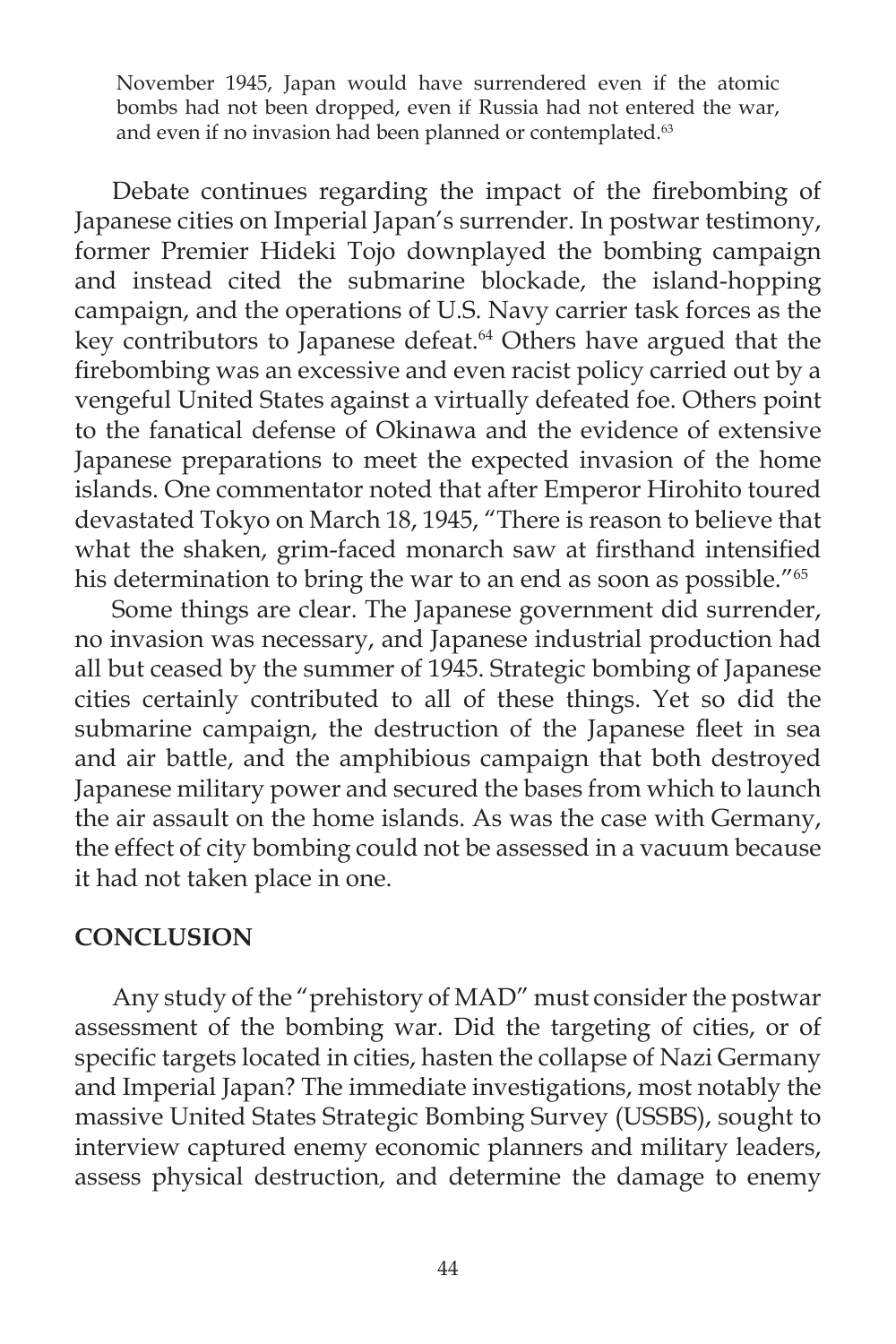November 1945, Japan would have surrendered even if the atomic bombs had not been dropped, even if Russia had not entered the war, and even if no invasion had been planned or contemplated.<sup>63</sup>

Debate continues regarding the impact of the firebombing of Japanese cities on Imperial Japan's surrender. In postwar testimony, former Premier Hideki Tojo downplayed the bombing campaign and instead cited the submarine blockade, the island-hopping campaign, and the operations of U.S. Navy carrier task forces as the key contributors to Japanese defeat.<sup>64</sup> Others have argued that the firebombing was an excessive and even racist policy carried out by a vengeful United States against a virtually defeated foe. Others point to the fanatical defense of Okinawa and the evidence of extensive Japanese preparations to meet the expected invasion of the home islands. One commentator noted that after Emperor Hirohito toured devastated Tokyo on March 18, 1945, "There is reason to believe that what the shaken, grim-faced monarch saw at firsthand intensified his determination to bring the war to an end as soon as possible."<sup>65</sup>

 Some things are clear. The Japanese government did surrender, no invasion was necessary, and Japanese industrial production had all but ceased by the summer of 1945. Strategic bombing of Japanese cities certainly contributed to all of these things. Yet so did the submarine campaign, the destruction of the Japanese fleet in sea and air battle, and the amphibious campaign that both destroyed Japanese military power and secured the bases from which to launch the air assault on the home islands. As was the case with Germany, the effect of city bombing could not be assessed in a vacuum because it had not taken place in one.

# **CONCLUSION**

 Any study of the "prehistory of MAD" must consider the postwar assessment of the bombing war. Did the targeting of cities, or of specific targets located in cities, hasten the collapse of Nazi Germany and Imperial Japan? The immediate investigations, most notably the massive United States Strategic Bombing Survey (USSBS), sought to interview captured enemy economic planners and military leaders, assess physical destruction, and determine the damage to enemy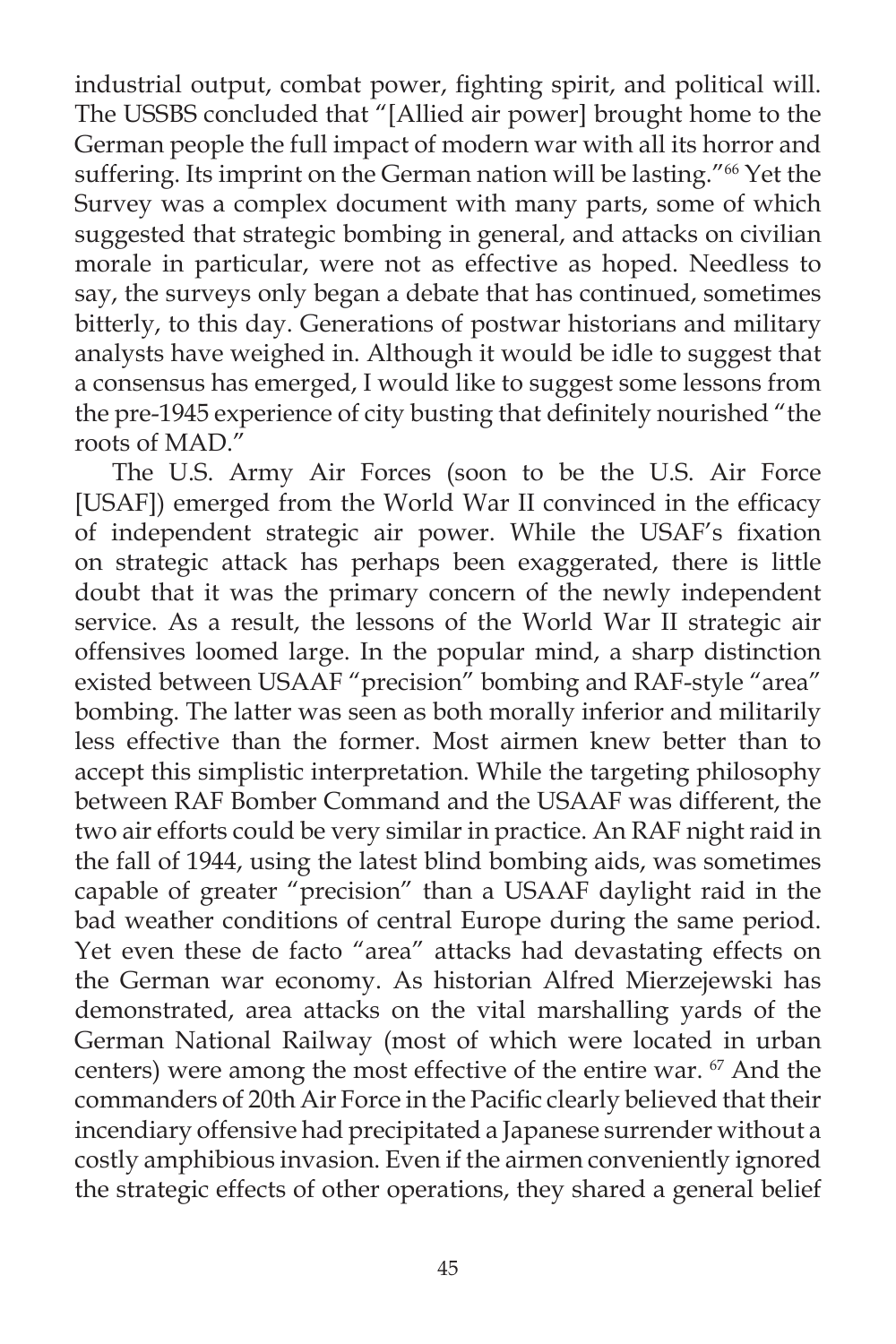industrial output, combat power, fighting spirit, and political will. The USSBS concluded that "[Allied air power] brought home to the German people the full impact of modern war with all its horror and suffering. Its imprint on the German nation will be lasting."<sup>66</sup> Yet the Survey was a complex document with many parts, some of which suggested that strategic bombing in general, and attacks on civilian morale in particular, were not as effective as hoped. Needless to say, the surveys only began a debate that has continued, sometimes bitterly, to this day. Generations of postwar historians and military analysts have weighed in. Although it would be idle to suggest that a consensus has emerged, I would like to suggest some lessons from the pre-1945 experience of city busting that definitely nourished "the roots of MAD."

 The U.S. Army Air Forces (soon to be the U.S. Air Force [USAF]) emerged from the World War II convinced in the efficacy of independent strategic air power. While the USAF's fixation on strategic attack has perhaps been exaggerated, there is little doubt that it was the primary concern of the newly independent service. As a result, the lessons of the World War II strategic air offensives loomed large. In the popular mind, a sharp distinction existed between USAAF "precision" bombing and RAF-style "area" bombing. The latter was seen as both morally inferior and militarily less effective than the former. Most airmen knew better than to accept this simplistic interpretation. While the targeting philosophy between RAF Bomber Command and the USAAF was different, the two air efforts could be very similar in practice. An RAF night raid in the fall of 1944, using the latest blind bombing aids, was sometimes capable of greater "precision" than a USAAF daylight raid in the bad weather conditions of central Europe during the same period. Yet even these de facto "area" attacks had devastating effects on the German war economy. As historian Alfred Mierzejewski has demonstrated, area attacks on the vital marshalling yards of the German National Railway (most of which were located in urban centers) were among the most effective of the entire war. <sup>67</sup> And the commanders of 20th Air Force in the Pacific clearly believed that their incendiary offensive had precipitated a Japanese surrender without a costly amphibious invasion. Even if the airmen conveniently ignored the strategic effects of other operations, they shared a general belief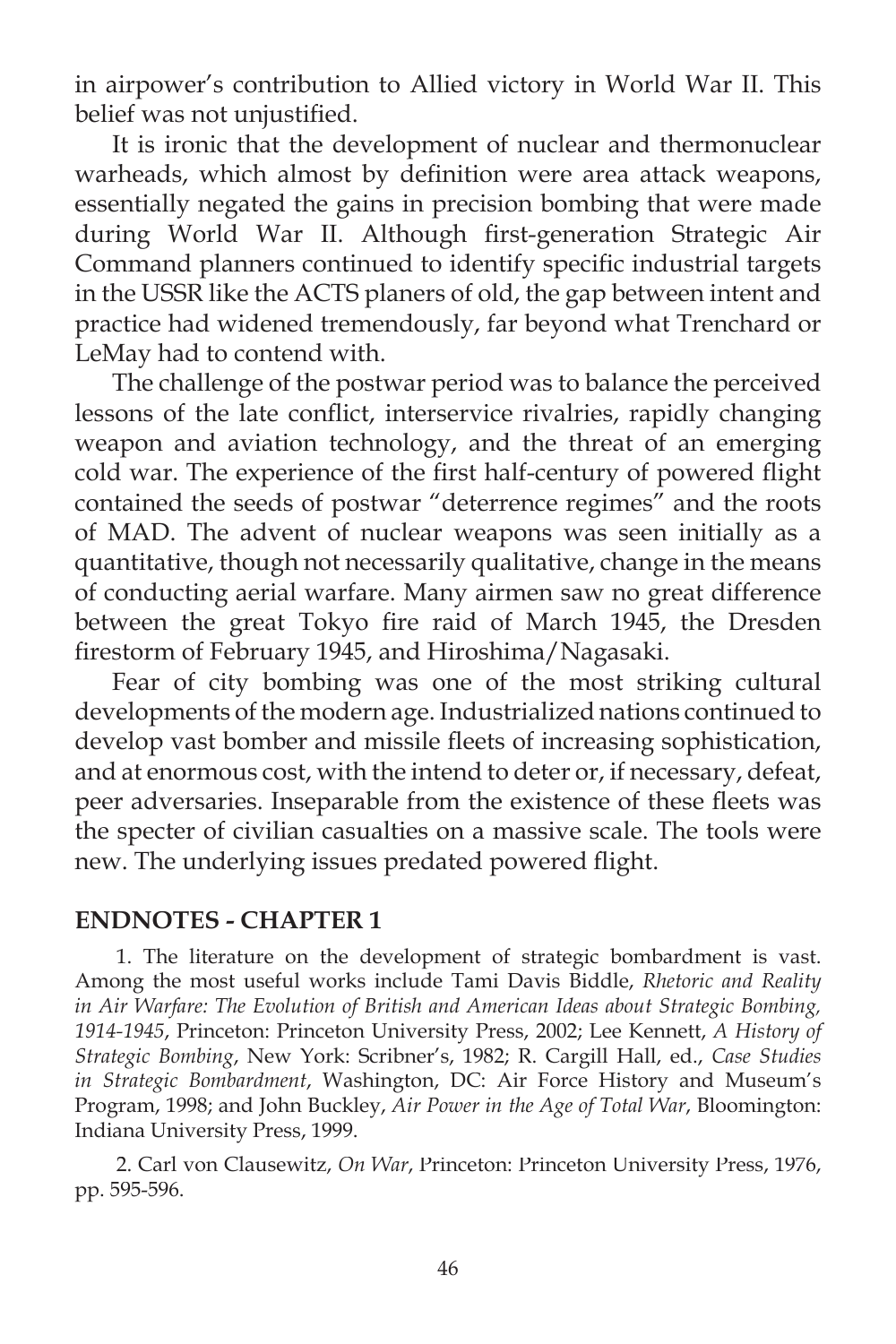in airpower's contribution to Allied victory in World War II. This belief was not unjustified.

 It is ironic that the development of nuclear and thermonuclear warheads, which almost by definition were area attack weapons, essentially negated the gains in precision bombing that were made during World War II. Although first-generation Strategic Air Command planners continued to identify specific industrial targets in the USSR like the ACTS planers of old, the gap between intent and practice had widened tremendously, far beyond what Trenchard or LeMay had to contend with.

 The challenge of the postwar period was to balance the perceived lessons of the late conflict, interservice rivalries, rapidly changing weapon and aviation technology, and the threat of an emerging cold war. The experience of the first half-century of powered flight contained the seeds of postwar "deterrence regimes" and the roots of MAD. The advent of nuclear weapons was seen initially as a quantitative, though not necessarily qualitative, change in the means of conducting aerial warfare. Many airmen saw no great difference between the great Tokyo fire raid of March 1945, the Dresden firestorm of February 1945, and Hiroshima/Nagasaki.

 Fear of city bombing was one of the most striking cultural developments of the modern age. Industrialized nations continued to develop vast bomber and missile fleets of increasing sophistication, and at enormous cost, with the intend to deter or, if necessary, defeat, peer adversaries. Inseparable from the existence of these fleets was the specter of civilian casualties on a massive scale. The tools were new. The underlying issues predated powered flight.

# **ENDNOTES - CHAPTER 1**

1. The literature on the development of strategic bombardment is vast. Among the most useful works include Tami Davis Biddle, *Rhetoric and Reality in Air Warfare: The Evolution of British and American Ideas about Strategic Bombing, 1914-1945*, Princeton: Princeton University Press, 2002; Lee Kennett, *A History of Strategic Bombing*, New York: Scribner's, 1982; R. Cargill Hall, ed., *Case Studies in Strategic Bombardment*, Washington, DC: Air Force History and Museum's Program, 1998; and John Buckley, *Air Power in the Age of Total War*, Bloomington: Indiana University Press, 1999.

2. Carl von Clausewitz, *On War*, Princeton: Princeton University Press, 1976, 1976, pp. 595-596.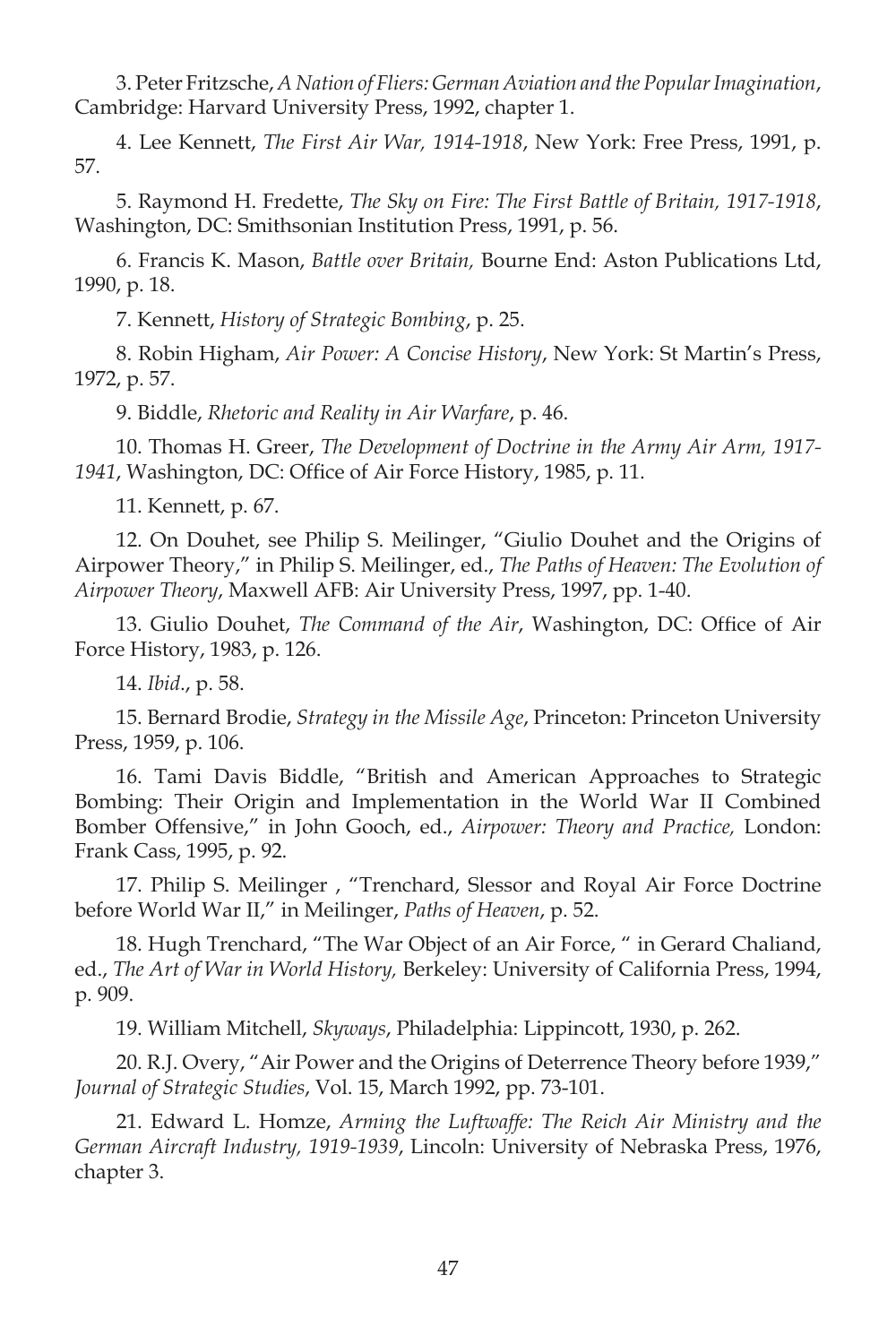3. Peter Fritzsche, *A Nation of Fliers: German Aviation and the Popular Imagination*, Cambridge: Harvard University Press, 1992, chapter 1.

4. Lee Kennett, *The First Air War, 1914-1918*, New York: Free Press, 1991, p. 57.

5. Raymond H. Fredette, *The Sky on Fire: The First Battle of Britain, 1917-1918*, Washington, DC: Smithsonian Institution Press, 1991, p. 56.

6. Francis K. Mason, *Battle over Britain,* Bourne End: Aston Publications Ltd, 1990, p. 18.

7. Kennett, *History of Strategic Bombing*, p. 25.

8. Robin Higham, *Air Power: A Concise History*, New York: St Martin's Press, 1972, p. 57.

9. Biddle, *Rhetoric and Reality in Air Warfare*, p. 46.

10. Thomas H. Greer, *The Development of Doctrine in the Army Air Arm, 1917-* 1941, Washington, DC: Office of Air Force History, 1985, p. 11.

11. Kennett, p. 67.

12. On Douhet, see Philip S. Meilinger, "Giulio Douhet and the Origins of Airpower Theory," in Philip S. Meilinger, ed., *The Paths of Heaven: The Evolution of Airpower Theory*, Maxwell AFB: Air University Press, 1997, pp. 1-40.

13. Giulio Douhet, *The Command of the Air*, Washington, DC: Office of Air Force History, 1983, p. 126.

14. *Ibid*., p. 58.

15. Bernard Brodie, *Strategy in the Missile Age*, Princeton: Princeton University Press, 1959, p. 106.

16. Tami Davis Biddle, "British and American Approaches to Strategic Bombing: Their Origin and Implementation in the World War II Combined Bomber Offensive," in John Gooch, ed., *Airpower: Theory and Practice,* London: Frank Cass, 1995, p. 92.

17. Philip S. Meilinger , "Trenchard, Slessor and Royal Air Force Doctrine before World War II," in Meilinger, *Paths of Heaven*, p. 52.

18. Hugh Trenchard, "The War Object of an Air Force, " in Gerard Chaliand, ed., *The Art of War in World History,* Berkeley: University of California Press, 1994, p. 909.

19. William Mitchell, *Skyways*, Philadelphia: Lippincott, 1930, p. 262.

20. R.J. Overy, "Air Power and the Origins of Deterrence Theory before 1939," *Journal of Strategic Studies*, Vol. 15, March 1992, pp. 73-101.

21. Edward L. Homze, *Arming the Luftwaffe: The Reich Air Ministry and the German Aircraft Industry, 1919-1939*, Lincoln: University of Nebraska Press, 1976, chapter 3.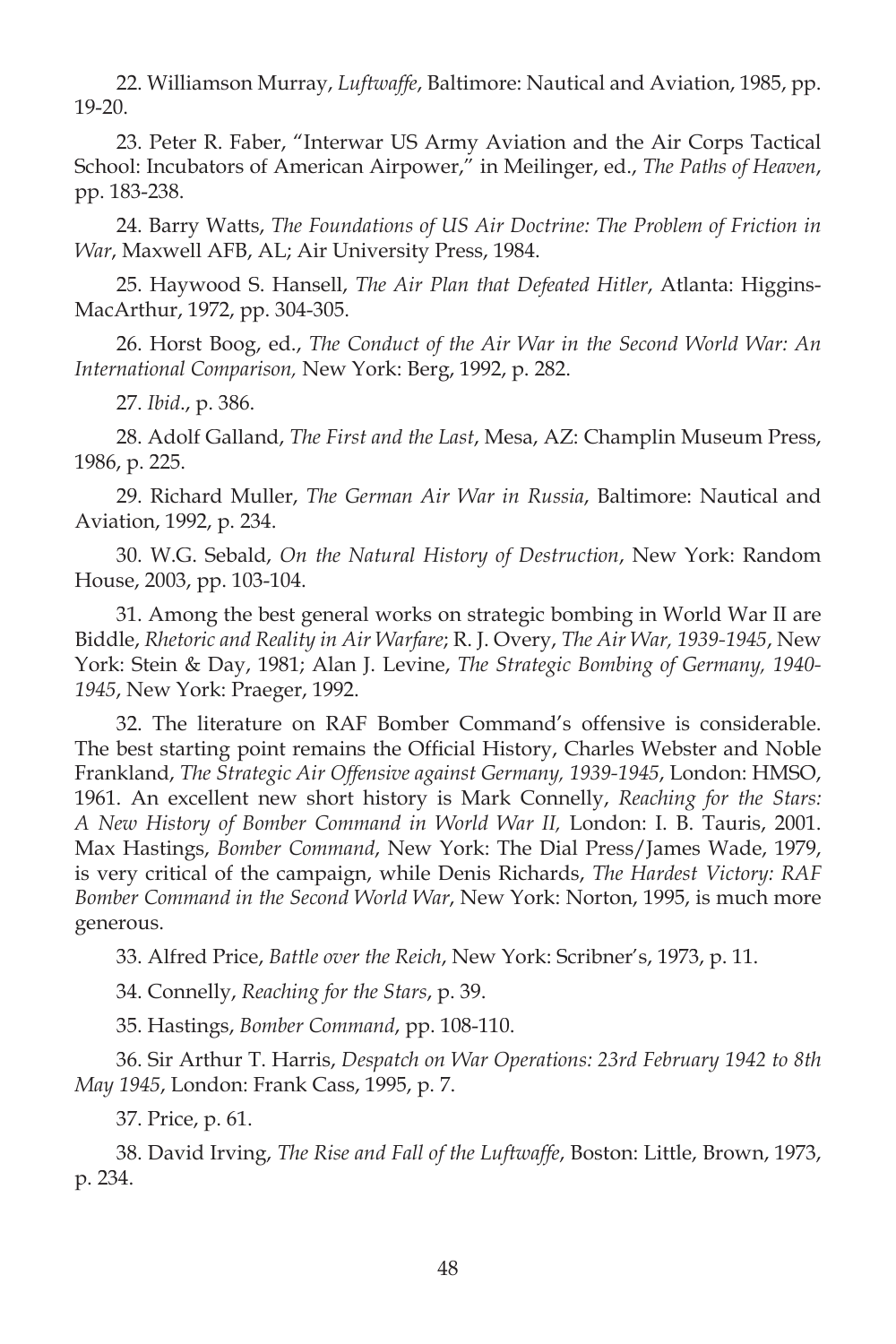22. Williamson Murray, *Luftwaffe*, Baltimore: Nautical and Aviation, 1985, pp. 19-20.

23. Peter R. Faber, "Interwar US Army Aviation and the Air Corps Tactical School: Incubators of American Airpower," in Meilinger, ed., *The Paths of Heaven*, pp. 183-238.

24. Barry Watts, *The Foundations of US Air Doctrine: The Problem of Friction in War*, Maxwell AFB, AL; Air University Press, 1984.

25. Haywood S. Hansell, *The Air Plan that Defeated Hitler*, Atlanta: Higgins-MacArthur, 1972, pp. 304-305.

26. Horst Boog, ed., *The Conduct of the Air War in the Second World War: An International Comparison,* New York: Berg, 1992, p. 282.

27. *Ibid*., p. 386.

28. Adolf Galland, *The First and the Last*, Mesa, AZ: Champlin Museum Press, 1986, p. 225.

29. Richard Muller, *The German Air War in Russia*, Baltimore: Nautical and Aviation, 1992, p. 234.

30. W.G. Sebald, *On the Natural History of Destruction*, New York: Random House, 2003, pp. 103-104.

31. Among the best general works on strategic bombing in World War II are Biddle, *Rhetoric and Reality in Air Warfare*; R. J. Overy, *The Air War, 1939-1945*, New York: Stein & Day, 1981; Alan J. Levine, *The Strategic Bombing of Germany, 1940- 1945*, New York: Praeger, 1992.

32. The literature on RAF Bomber Command's offensive is considerable. The best starting point remains the Official History, Charles Webster and Noble Frankland, *The Strategic Air Offensive against Germany, 1939-1945*, London: HMSO, 1961. An excellent new short history is Mark Connelly, *Reaching for the Stars: A New History of Bomber Command in World War II,* London: I. B. Tauris, 2001. Max Hastings, *Bomber Command*, New York: The Dial Press/James Wade, 1979, is very critical of the campaign, while Denis Richards, *The Hardest Victory: RAF Bomber Command in the Second World War* , New York: Norton, 1995, is much more generous.

33. Alfred Price, *Battle over the Reich*, New York: Scribner's, 1973, p. 11.

34. Connelly, *Reaching for the Stars*, p. 39.

35. Hastings, *Bomber Command*, pp. 108-110.

36. Sir Arthur T. Harris, *Despatch on War Operations: 23rd February 1942 to 8th May 1945*, London: Frank Cass, 1995, p. 7.

37. Price, p. 61.

38. David Irving, *The Rise and Fall of the Luftwaffe*, Boston: Little, Brown, 1973, p. 234.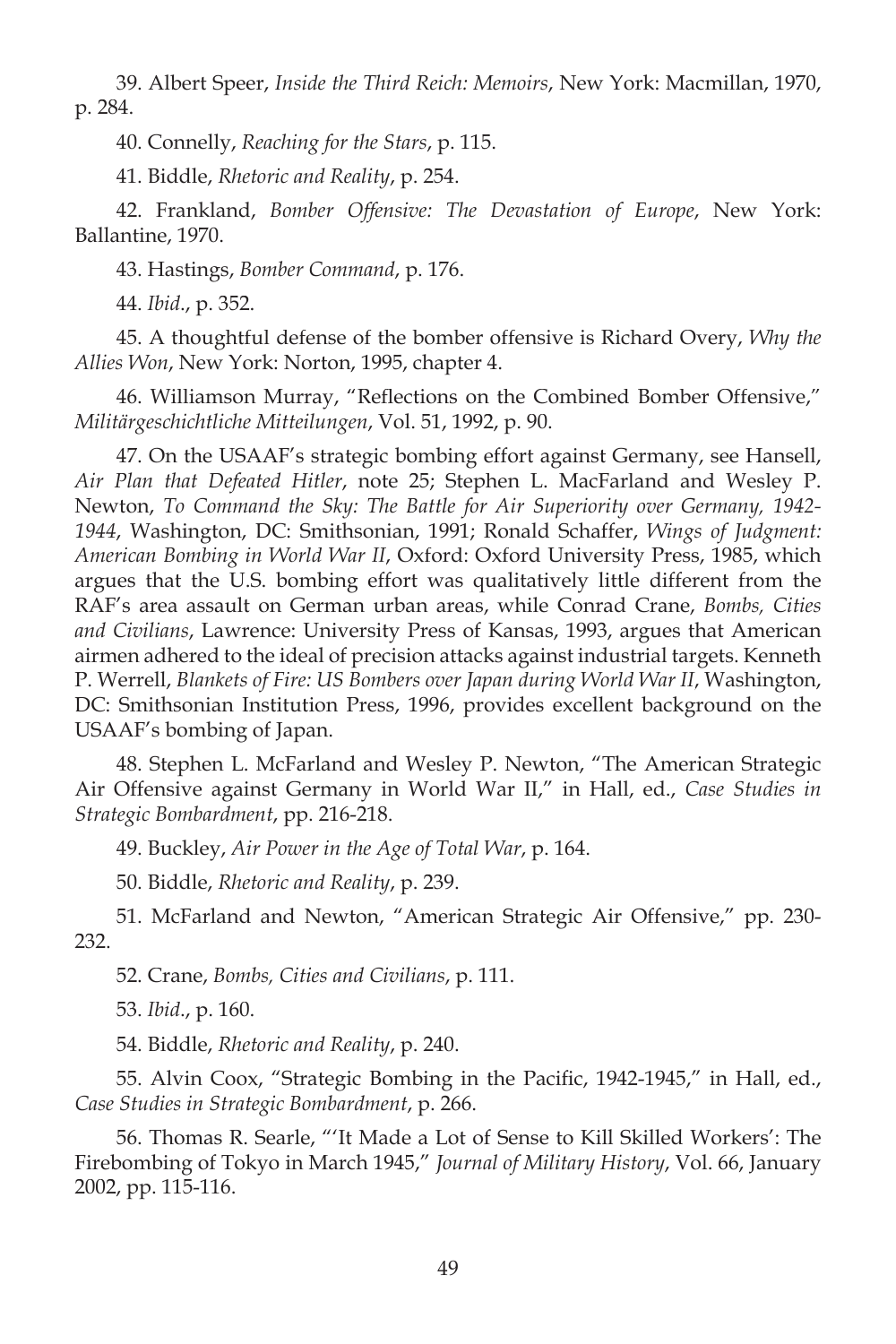39. Albert Speer, *Inside the Third Reich: Memoirs*, New York: Macmillan, 1970, p. 284.

40. Connelly, *Reaching for the Stars*, p. 115.

41. Biddle, *Rhetoric and Reality*, p. 254.

42. Frankland, *Bomber Offensive: The Devastation of Europe*, New York: Ballantine, 1970.

43. Hastings, *Bomber Command*, p. 176.

44. *Ibid*., p. 352.

45. A thoughtful defense of the bomber offensive is Richard Overy, *Why the Allies Won*, New York: Norton, 1995, chapter 4.

46. Williamson Murray, "Reflections on the Combined Bomber Offensive," *Militärgeschichtliche Mitteilungen*, Vol. 51, 1992, p. 90.

47. On the USAAF's strategic bombing effort against Germany, see Hansell, Air Plan that Defeated Hitler, note 25; Stephen L. MacFarland and Wesley P. Newton, *To Command the Sky: The Battle for Air Superiority over Germany, 1942- 1944*, Washington, DC: Smithsonian, 1991; Ronald Schaffer, *Wings of Judgment: American Bombing in World War II* , Oxford: Oxford University Press, 1985, which which argues that the U.S. bombing effort was qualitatively little different from the RAF's area assault on German urban areas, while Conrad Crane, *Bombs, Cities and Civilians*, Lawrence: University Press of Kansas, 1993, argues that American airmen adhered to the ideal of precision attacks against industrial targets. Kenneth P. Werrell, *Blankets of Fire: US Bombers over Japan during World War II*, Washington, DC: Smithsonian Institution Press, 1996, provides excellent background on the USAAF's bombing of Japan.

48. Stephen L. McFarland and Wesley P. Newton, "The American Strategic Air Offensive against Germany in World War II," in Hall, ed., *Case Studies in Strategic Bombardment*, pp. 216-218.

49. Buckley, *Air Power in the Age of Total War*, p. 164.

50. Biddle, *Rhetoric and Reality*, p. 239.

51. McFarland and Newton, "American Strategic Air Offensive," pp. 230- 232.

52. Crane, *Bombs, Cities and Civilians*, p. 111.

53. *Ibid*., p. 160.

54. Biddle, *Rhetoric and Reality*, p. 240.

55. Alvin Coox, "Strategic Bombing in the Pacific, 1942-1945," in Hall, ed., *Case Studies in Strategic Bombardment*, p. 266.

56. Thomas R. Searle, "'It Made a Lot of Sense to Kill Skilled Workers': The Firebombing of Tokyo in March 1945," *Journal of Military History*, Vol. 66, January 2002, pp. 115-116.